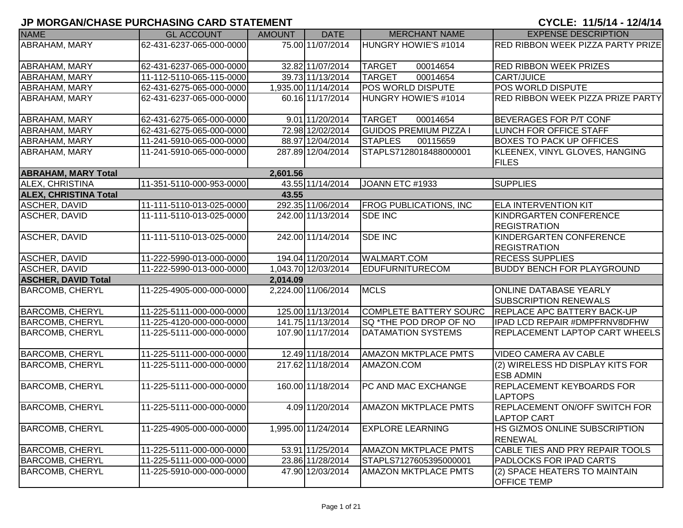| <b>NAME</b>                  | <b>GL ACCOUNT</b>        | <b>AMOUNT</b> | <b>DATE</b>         | <b>MERCHANT NAME</b>          | <b>EXPENSE DESCRIPTION</b>                          |
|------------------------------|--------------------------|---------------|---------------------|-------------------------------|-----------------------------------------------------|
| ABRAHAM, MARY                | 62-431-6237-065-000-0000 |               | 75.00 11/07/2014    | HUNGRY HOWIE'S #1014          | <b>RED RIBBON WEEK PIZZA PARTY PRIZE</b>            |
|                              |                          |               |                     |                               |                                                     |
| ABRAHAM, MARY                | 62-431-6237-065-000-0000 |               | 32.82 11/07/2014    | <b>TARGET</b><br>00014654     | <b>RED RIBBON WEEK PRIZES</b>                       |
| <b>ABRAHAM, MARY</b>         | 11-112-5110-065-115-0000 |               | 39.73 11/13/2014    | <b>TARGET</b><br>00014654     | CART/JUICE                                          |
| ABRAHAM, MARY                | 62-431-6275-065-000-0000 |               | 1,935.00 11/14/2014 | POS WORLD DISPUTE             | POS WORLD DISPUTE                                   |
| ABRAHAM, MARY                | 62-431-6237-065-000-0000 |               | 60.16 11/17/2014    | HUNGRY HOWIE'S #1014          | RED RIBBON WEEK PIZZA PRIZE PARTY                   |
| ABRAHAM, MARY                | 62-431-6275-065-000-0000 |               | $9.01$ 11/20/2014   | <b>TARGET</b><br>00014654     | BEVERAGES FOR P/T CONF                              |
| <b>ABRAHAM, MARY</b>         | 62-431-6275-065-000-0000 |               | 72.98 12/02/2014    | <b>GUIDOS PREMIUM PIZZA I</b> | <b>LUNCH FOR OFFICE STAFF</b>                       |
| ABRAHAM, MARY                | 11-241-5910-065-000-0000 |               | 88.97 12/04/2014    | <b>STAPLES</b><br>00115659    | <b>BOXES TO PACK UP OFFICES</b>                     |
|                              |                          |               | 287.89 12/04/2014   | STAPLS7128018488000001        |                                                     |
| ABRAHAM, MARY                | 11-241-5910-065-000-0000 |               |                     |                               | KLEENEX, VINYL GLOVES, HANGING<br><b>FILES</b>      |
| <b>ABRAHAM, MARY Total</b>   |                          | 2,601.56      |                     |                               |                                                     |
| ALEX, CHRISTINA              | 11-351-5110-000-953-0000 |               | 43.55 11/14/2014    | JOANN ETC #1933               | <b>SUPPLIES</b>                                     |
| <b>ALEX, CHRISTINA Total</b> |                          | 43.55         |                     |                               |                                                     |
| <b>ASCHER, DAVID</b>         | 11-111-5110-013-025-0000 |               | 292.35 11/06/2014   | <b>FROG PUBLICATIONS, INC</b> | <b>ELA INTERVENTION KIT</b>                         |
| ASCHER, DAVID                | 11-111-5110-013-025-0000 |               | 242.00 11/13/2014   | <b>SDE INC</b>                | KINDRGARTEN CONFERENCE                              |
|                              |                          |               |                     |                               | <b>REGISTRATION</b>                                 |
| <b>ASCHER, DAVID</b>         | 11-111-5110-013-025-0000 |               | 242.00 11/14/2014   | <b>SDE INC</b>                | KINDERGARTEN CONFERENCE                             |
|                              |                          |               |                     |                               | <b>REGISTRATION</b>                                 |
| <b>ASCHER, DAVID</b>         | 11-222-5990-013-000-0000 |               | 194.04 11/20/2014   | <b>WALMART.COM</b>            | <b>RECESS SUPPLIES</b>                              |
| <b>ASCHER, DAVID</b>         | 11-222-5990-013-000-0000 |               | 1,043.70 12/03/2014 | <b>EDUFURNITURECOM</b>        | <b>BUDDY BENCH FOR PLAYGROUND</b>                   |
| <b>ASCHER, DAVID Total</b>   |                          | 2,014.09      |                     |                               |                                                     |
| <b>BARCOMB, CHERYL</b>       | 11-225-4905-000-000-0000 |               | 2,224.00 11/06/2014 | <b>MCLS</b>                   | <b>ONLINE DATABASE YEARLY</b>                       |
|                              |                          |               |                     |                               | <b>SUBSCRIPTION RENEWALS</b>                        |
| <b>BARCOMB, CHERYL</b>       | 11-225-5111-000-000-0000 |               | 125.00 11/13/2014   | <b>COMPLETE BATTERY SOURC</b> | <b>REPLACE APC BATTERY BACK-UP</b>                  |
| <b>BARCOMB, CHERYL</b>       | 11-225-4120-000-000-0000 |               | 141.75 11/13/2014   | SQ *THE POD DROP OF NO        | IPAD LCD REPAIR #DMPFRNV8DFHW                       |
| <b>BARCOMB, CHERYL</b>       | 11-225-5111-000-000-0000 |               | 107.90 11/17/2014   | DATAMATION SYSTEMS            | REPLACEMENT LAPTOP CART WHEELS                      |
| <b>BARCOMB, CHERYL</b>       | 11-225-5111-000-000-0000 |               | 12.49 11/18/2014    | <b>AMAZON MKTPLACE PMTS</b>   | <b>VIDEO CAMERA AV CABLE</b>                        |
| <b>BARCOMB, CHERYL</b>       | 11-225-5111-000-000-0000 |               | 217.62 11/18/2014   | AMAZON.COM                    | (2) WIRELESS HD DISPLAY KITS FOR                    |
|                              |                          |               |                     |                               | <b>ESB ADMIN</b>                                    |
| <b>BARCOMB, CHERYL</b>       | 11-225-5111-000-000-0000 |               | 160.00 11/18/2014   | PC AND MAC EXCHANGE           | REPLACEMENT KEYBOARDS FOR                           |
|                              |                          |               |                     |                               | <b>LAPTOPS</b>                                      |
| <b>BARCOMB, CHERYL</b>       | 11-225-5111-000-000-0000 |               | 4.09 11/20/2014     | <b>AMAZON MKTPLACE PMTS</b>   | <b>REPLACEMENT ON/OFF SWITCH FOR</b>                |
|                              |                          |               |                     |                               | <b>LAPTOP CART</b>                                  |
| <b>BARCOMB, CHERYL</b>       | 11-225-4905-000-000-0000 |               | 1,995.00 11/24/2014 | <b>EXPLORE LEARNING</b>       | HS GIZMOS ONLINE SUBSCRIPTION                       |
|                              |                          |               |                     |                               | <b>RENEWAL</b>                                      |
| <b>BARCOMB, CHERYL</b>       | 11-225-5111-000-000-0000 |               | 53.91 11/25/2014    | <b>AMAZON MKTPLACE PMTS</b>   | CABLE TIES AND PRY REPAIR TOOLS                     |
| <b>BARCOMB, CHERYL</b>       | 11-225-5111-000-000-0000 |               | 23.86 11/28/2014    | STAPLS7127605395000001        | PADLOCKS FOR IPAD CARTS                             |
| <b>BARCOMB, CHERYL</b>       | 11-225-5910-000-000-0000 |               | 47.90 12/03/2014    | <b>AMAZON MKTPLACE PMTS</b>   | (2) SPACE HEATERS TO MAINTAIN<br><b>OFFICE TEMP</b> |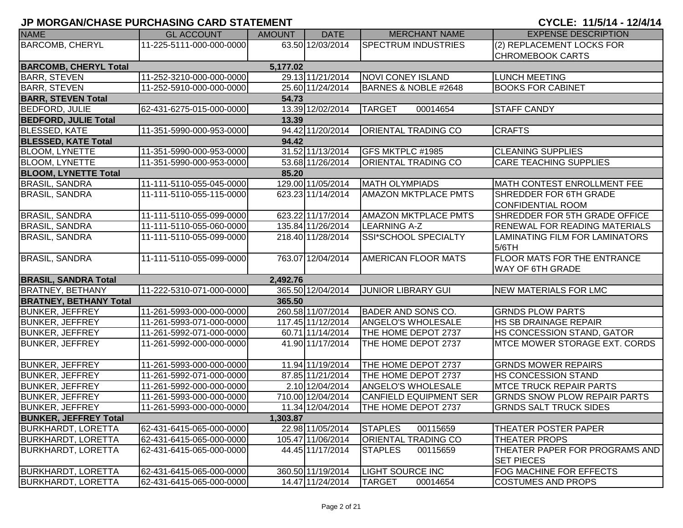| <b>NAME</b>                   | <b>GL ACCOUNT</b>        | <b>AMOUNT</b> | <b>DATE</b>       | <b>MERCHANT NAME</b>          | <b>EXPENSE DESCRIPTION</b>           |
|-------------------------------|--------------------------|---------------|-------------------|-------------------------------|--------------------------------------|
| <b>BARCOMB, CHERYL</b>        | 11-225-5111-000-000-0000 |               | 63.50 12/03/2014  | <b>SPECTRUM INDUSTRIES</b>    | (2) REPLACEMENT LOCKS FOR            |
|                               |                          |               |                   |                               | <b>CHROMEBOOK CARTS</b>              |
| <b>BARCOMB, CHERYL Total</b>  |                          | 5,177.02      |                   |                               |                                      |
| <b>BARR, STEVEN</b>           | 11-252-3210-000-000-0000 |               | 29.13 11/21/2014  | <b>NOVI CONEY ISLAND</b>      | <b>LUNCH MEETING</b>                 |
| <b>BARR, STEVEN</b>           | 11-252-5910-000-000-0000 |               | 25.60 11/24/2014  | BARNES & NOBLE #2648          | <b>BOOKS FOR CABINET</b>             |
| <b>BARR, STEVEN Total</b>     |                          | 54.73         |                   |                               |                                      |
| <b>BEDFORD, JULIE</b>         | 62-431-6275-015-000-0000 |               | 13.39 12/02/2014  | <b>TARGET</b><br>00014654     | <b>STAFF CANDY</b>                   |
| <b>BEDFORD, JULIE Total</b>   |                          | 13.39         |                   |                               |                                      |
| <b>BLESSED, KATE</b>          | 11-351-5990-000-953-0000 |               | 94.42 11/20/2014  | <b>ORIENTAL TRADING CO</b>    | <b>CRAFTS</b>                        |
| <b>BLESSED, KATE Total</b>    |                          | 94.42         |                   |                               |                                      |
| <b>BLOOM, LYNETTE</b>         | 11-351-5990-000-953-0000 |               | 31.52 11/13/2014  | GFS MKTPLC #1985              | <b>CLEANING SUPPLIES</b>             |
| <b>BLOOM, LYNETTE</b>         | 11-351-5990-000-953-0000 |               | 53.68 11/26/2014  | <b>ORIENTAL TRADING CO</b>    | <b>CARE TEACHING SUPPLIES</b>        |
| <b>BLOOM, LYNETTE Total</b>   |                          | 85.20         |                   |                               |                                      |
| <b>BRASIL, SANDRA</b>         | 11-111-5110-055-045-0000 |               | 129.00 11/05/2014 | <b>MATH OLYMPIADS</b>         | MATH CONTEST ENROLLMENT FEE          |
| <b>BRASIL, SANDRA</b>         | 11-111-5110-055-115-0000 |               | 623.23 11/14/2014 | <b>AMAZON MKTPLACE PMTS</b>   | SHREDDER FOR 6TH GRADE               |
|                               |                          |               |                   |                               | <b>CONFIDENTIAL ROOM</b>             |
| <b>BRASIL, SANDRA</b>         | 11-111-5110-055-099-0000 |               | 623.22 11/17/2014 | <b>AMAZON MKTPLACE PMTS</b>   | SHREDDER FOR 5TH GRADE OFFICE        |
| <b>BRASIL, SANDRA</b>         | 11-111-5110-055-060-0000 |               | 135.84 11/26/2014 | <b>LEARNING A-Z</b>           | <b>RENEWAL FOR READING MATERIALS</b> |
| <b>BRASIL, SANDRA</b>         | 11-111-5110-055-099-0000 |               | 218.40 11/28/2014 | SSI*SCHOOL SPECIALTY          | LAMINATING FILM FOR LAMINATORS       |
|                               |                          |               |                   |                               | 5/6TH                                |
| <b>BRASIL, SANDRA</b>         | 11-111-5110-055-099-0000 |               | 763.07 12/04/2014 | <b>AMERICAN FLOOR MATS</b>    | <b>FLOOR MATS FOR THE ENTRANCE</b>   |
|                               |                          |               |                   |                               | <b>WAY OF 6TH GRADE</b>              |
| <b>BRASIL, SANDRA Total</b>   |                          | 2,492.76      |                   |                               |                                      |
| <b>BRATNEY, BETHANY</b>       | 11-222-5310-071-000-0000 |               | 365.50 12/04/2014 | <b>JUNIOR LIBRARY GUI</b>     | <b>NEW MATERIALS FOR LMC</b>         |
| <b>BRATNEY, BETHANY Total</b> |                          | 365.50        |                   |                               |                                      |
| <b>BUNKER, JEFFREY</b>        | 11-261-5993-000-000-0000 |               | 260.58 11/07/2014 | <b>BADER AND SONS CO.</b>     | <b>GRNDS PLOW PARTS</b>              |
| <b>BUNKER, JEFFREY</b>        | 11-261-5993-071-000-0000 |               | 117.45 11/12/2014 | ANGELO'S WHOLESALE            | <b>HS SB DRAINAGE REPAIR</b>         |
| <b>BUNKER, JEFFREY</b>        | 11-261-5992-071-000-0000 |               | 60.71 11/14/2014  | THE HOME DEPOT 2737           | HS CONCESSION STAND, GATOR           |
| <b>BUNKER, JEFFREY</b>        | 11-261-5992-000-000-0000 |               | 41.90 11/17/2014  | THE HOME DEPOT 2737           | <b>MTCE MOWER STORAGE EXT. CORDS</b> |
|                               |                          |               |                   |                               |                                      |
| <b>BUNKER, JEFFREY</b>        | 11-261-5993-000-000-0000 |               | 11.94 11/19/2014  | THE HOME DEPOT 2737           | <b>GRNDS MOWER REPAIRS</b>           |
| <b>BUNKER, JEFFREY</b>        | 11-261-5992-071-000-0000 |               | 87.85 11/21/2014  | THE HOME DEPOT 2737           | HS CONCESSION STAND                  |
| <b>BUNKER, JEFFREY</b>        | 11-261-5992-000-000-0000 |               | 2.10 12/04/2014   | <b>ANGELO'S WHOLESALE</b>     | <b>MTCE TRUCK REPAIR PARTS</b>       |
| <b>BUNKER, JEFFREY</b>        | 11-261-5993-000-000-0000 |               | 710.00 12/04/2014 | <b>CANFIELD EQUIPMENT SER</b> | <b>GRNDS SNOW PLOW REPAIR PARTS</b>  |
| <b>BUNKER, JEFFREY</b>        | 11-261-5993-000-000-0000 |               | 11.34 12/04/2014  | THE HOME DEPOT 2737           | <b>GRNDS SALT TRUCK SIDES</b>        |
| <b>BUNKER, JEFFREY Total</b>  |                          | 1,303.87      |                   |                               |                                      |
| <b>BURKHARDT, LORETTA</b>     | 62-431-6415-065-000-0000 |               | 22.98 11/05/2014  | <b>STAPLES</b><br>00115659    | THEATER POSTER PAPER                 |
| <b>BURKHARDT, LORETTA</b>     | 62-431-6415-065-000-0000 |               | 105.47 11/06/2014 | ORIENTAL TRADING CO           | THEATER PROPS                        |
| <b>BURKHARDT, LORETTA</b>     | 62-431-6415-065-000-0000 |               | 44.45 11/17/2014  | <b>STAPLES</b><br>00115659    | THEATER PAPER FOR PROGRAMS AND       |
|                               |                          |               |                   |                               | <b>SET PIECES</b>                    |
| <b>BURKHARDT, LORETTA</b>     | 62-431-6415-065-000-0000 |               | 360.50 11/19/2014 | <b>LIGHT SOURCE INC</b>       | FOG MACHINE FOR EFFECTS              |
| <b>BURKHARDT, LORETTA</b>     | 62-431-6415-065-000-0000 |               | 14.47 11/24/2014  | <b>TARGET</b><br>00014654     | <b>COSTUMES AND PROPS</b>            |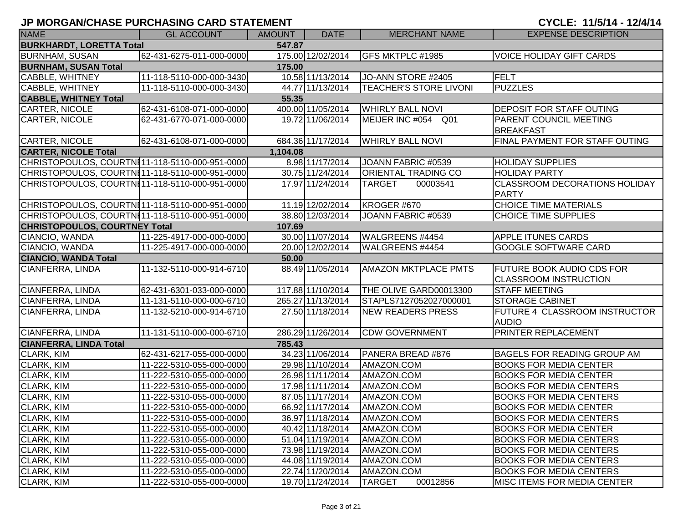| <b>NAME</b>                                    | <b>GL ACCOUNT</b>        | <b>AMOUNT</b> | <b>DATE</b>       | <b>MERCHANT NAME</b>          | <b>EXPENSE DESCRIPTION</b>                    |  |  |  |
|------------------------------------------------|--------------------------|---------------|-------------------|-------------------------------|-----------------------------------------------|--|--|--|
| <b>BURKHARDT, LORETTA Total</b><br>547.87      |                          |               |                   |                               |                                               |  |  |  |
| <b>BURNHAM, SUSAN</b>                          | 62-431-6275-011-000-0000 |               | 175.00 12/02/2014 | GFS MKTPLC #1985              | <b>VOICE HOLIDAY GIFT CARDS</b>               |  |  |  |
| <b>BURNHAM, SUSAN Total</b>                    |                          | 175.00        |                   |                               |                                               |  |  |  |
| <b>CABBLE, WHITNEY</b>                         | 11-118-5110-000-000-3430 |               | 10.58 11/13/2014  | JO-ANN STORE #2405            | FELT                                          |  |  |  |
| CABBLE, WHITNEY                                | 11-118-5110-000-000-3430 |               | 44.77 11/13/2014  | <b>TEACHER'S STORE LIVONI</b> | <b>PUZZLES</b>                                |  |  |  |
| <b>CABBLE, WHITNEY Total</b>                   |                          | 55.35         |                   |                               |                                               |  |  |  |
| CARTER, NICOLE                                 | 62-431-6108-071-000-0000 |               | 400.00 11/05/2014 | <b>WHIRLY BALL NOVI</b>       | DEPOSIT FOR STAFF OUTING                      |  |  |  |
| CARTER, NICOLE                                 | 62-431-6770-071-000-0000 |               | 19.72 11/06/2014  | MEIJER INC #054 Q01           | PARENT COUNCIL MEETING                        |  |  |  |
|                                                |                          |               |                   |                               | <b>BREAKFAST</b>                              |  |  |  |
| <b>CARTER, NICOLE</b>                          | 62-431-6108-071-000-0000 |               | 684.36 11/17/2014 | <b>WHIRLY BALL NOVI</b>       | FINAL PAYMENT FOR STAFF OUTING                |  |  |  |
| <b>CARTER, NICOLE Total</b>                    |                          | 1,104.08      |                   |                               |                                               |  |  |  |
| CHRISTOPOULOS, COURTN11-118-5110-000-951-0000  |                          |               | 8.98 11/17/2014   | JOANN FABRIC #0539            | <b>HOLIDAY SUPPLIES</b>                       |  |  |  |
| CHRISTOPOULOS, COURTN111-118-5110-000-951-0000 |                          |               | 30.75 11/24/2014  | <b>ORIENTAL TRADING CO</b>    | <b>HOLIDAY PARTY</b>                          |  |  |  |
| CHRISTOPOULOS, COURTNI11-118-5110-000-951-0000 |                          |               | 17.97 11/24/2014  | <b>TARGET</b><br>00003541     | <b>CLASSROOM DECORATIONS HOLIDAY</b>          |  |  |  |
|                                                |                          |               |                   |                               | <b>PARTY</b>                                  |  |  |  |
| CHRISTOPOULOS, COURTNI11-118-5110-000-951-0000 |                          |               | 11.19 12/02/2014  | KROGER #670                   | <b>CHOICE TIME MATERIALS</b>                  |  |  |  |
| CHRISTOPOULOS, COURTN111-118-5110-000-951-0000 |                          |               | 38.80 12/03/2014  | JOANN FABRIC #0539            | <b>CHOICE TIME SUPPLIES</b>                   |  |  |  |
| <b>CHRISTOPOULOS, COURTNEY Total</b>           |                          | 107.69        |                   |                               |                                               |  |  |  |
| CIANCIO, WANDA                                 | 11-225-4917-000-000-0000 |               | 30.00 11/07/2014  | WALGREENS #4454               | <b>APPLE ITUNES CARDS</b>                     |  |  |  |
| CIANCIO, WANDA                                 | 11-225-4917-000-000-0000 |               | 20.00 12/02/2014  | <b>WALGREENS #4454</b>        | <b>GOOGLE SOFTWARE CARD</b>                   |  |  |  |
| <b>CIANCIO, WANDA Total</b>                    |                          | 50.00         |                   |                               |                                               |  |  |  |
| CIANFERRA, LINDA                               | 11-132-5110-000-914-6710 |               | 88.49 11/05/2014  | <b>AMAZON MKTPLACE PMTS</b>   | <b>FUTURE BOOK AUDIO CDS FOR</b>              |  |  |  |
|                                                |                          |               |                   |                               | <b>CLASSROOM INSTRUCTION</b>                  |  |  |  |
| CIANFERRA, LINDA                               | 62-431-6301-033-000-0000 |               | 117.88 11/10/2014 | THE OLIVE GARD00013300        | <b>STAFF MEETING</b>                          |  |  |  |
| <b>CIANFERRA, LINDA</b>                        | 11-131-5110-000-000-6710 |               | 265.27 11/13/2014 | STAPLS7127052027000001        | <b>STORAGE CABINET</b>                        |  |  |  |
| CIANFERRA, LINDA                               | 11-132-5210-000-914-6710 |               | 27.50 11/18/2014  | NEW READERS PRESS             | FUTURE 4 CLASSROOM INSTRUCTOR<br><b>AUDIO</b> |  |  |  |
| CIANFERRA, LINDA                               | 11-131-5110-000-000-6710 |               | 286.29 11/26/2014 | <b>CDW GOVERNMENT</b>         | PRINTER REPLACEMENT                           |  |  |  |
| <b>CIANFERRA, LINDA Total</b>                  |                          | 785.43        |                   |                               |                                               |  |  |  |
| <b>CLARK, KIM</b>                              | 62-431-6217-055-000-0000 |               | 34.23 11/06/2014  | PANERA BREAD #876             | <b>BAGELS FOR READING GROUP AM</b>            |  |  |  |
| CLARK, KIM                                     | 11-222-5310-055-000-0000 |               | 29.98 11/10/2014  | AMAZON.COM                    | <b>BOOKS FOR MEDIA CENTER</b>                 |  |  |  |
| CLARK, KIM                                     | 11-222-5310-055-000-0000 |               | 26.98 11/11/2014  | AMAZON.COM                    | <b>BOOKS FOR MEDIA CENTER</b>                 |  |  |  |
| <b>CLARK, KIM</b>                              | 11-222-5310-055-000-0000 |               | 17.98 11/11/2014  | AMAZON.COM                    | <b>BOOKS FOR MEDIA CENTERS</b>                |  |  |  |
| <b>CLARK, KIM</b>                              | 11-222-5310-055-000-0000 |               | 87.05 11/17/2014  | AMAZON.COM                    | <b>BOOKS FOR MEDIA CENTERS</b>                |  |  |  |
| CLARK, KIM                                     | 11-222-5310-055-000-0000 |               | 66.92 11/17/2014  | AMAZON.COM                    | <b>BOOKS FOR MEDIA CENTER</b>                 |  |  |  |
| <b>CLARK, KIM</b>                              | 11-222-5310-055-000-0000 |               | 36.97 11/18/2014  | AMAZON.COM                    | <b>BOOKS FOR MEDIA CENTERS</b>                |  |  |  |
| <b>CLARK, KIM</b>                              | 11-222-5310-055-000-0000 |               | 40.42 11/18/2014  | AMAZON.COM                    | <b>BOOKS FOR MEDIA CENTER</b>                 |  |  |  |
| <b>CLARK, KIM</b>                              | 11-222-5310-055-000-0000 |               | 51.04 11/19/2014  | AMAZON.COM                    | <b>BOOKS FOR MEDIA CENTERS</b>                |  |  |  |
| <b>CLARK, KIM</b>                              | 11-222-5310-055-000-0000 |               | 73.98 11/19/2014  | AMAZON.COM                    | <b>BOOKS FOR MEDIA CENTERS</b>                |  |  |  |
| <b>CLARK, KIM</b>                              | 11-222-5310-055-000-0000 |               | 44.08 11/19/2014  | AMAZON.COM                    | <b>BOOKS FOR MEDIA CENTERS</b>                |  |  |  |
| <b>CLARK, KIM</b>                              | 11-222-5310-055-000-0000 |               | 22.74 11/20/2014  | AMAZON.COM                    | <b>BOOKS FOR MEDIA CENTERS</b>                |  |  |  |
| CLARK, KIM                                     | 11-222-5310-055-000-0000 |               | 19.70 11/24/2014  | <b>TARGET</b><br>00012856     | <b>MISC ITEMS FOR MEDIA CENTER</b>            |  |  |  |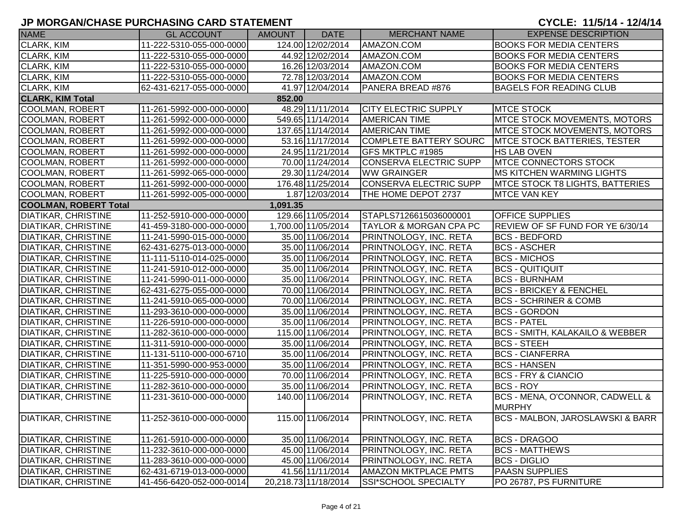| <b>NAME</b>                  | <b>GL ACCOUNT</b>        | <b>AMOUNT</b> | <b>DATE</b>          | <b>MERCHANT NAME</b>              | <b>EXPENSE DESCRIPTION</b>                  |
|------------------------------|--------------------------|---------------|----------------------|-----------------------------------|---------------------------------------------|
| <b>CLARK, KIM</b>            | 11-222-5310-055-000-0000 |               | 124.00 12/02/2014    | AMAZON.COM                        | <b>BOOKS FOR MEDIA CENTERS</b>              |
| CLARK, KIM                   | 11-222-5310-055-000-0000 |               | 44.92 12/02/2014     | AMAZON.COM                        | <b>BOOKS FOR MEDIA CENTERS</b>              |
| CLARK, KIM                   | 11-222-5310-055-000-0000 |               | 16.26 12/03/2014     | AMAZON.COM                        | <b>BOOKS FOR MEDIA CENTERS</b>              |
| CLARK, KIM                   | 11-222-5310-055-000-0000 |               | 72.78 12/03/2014     | AMAZON.COM                        | <b>BOOKS FOR MEDIA CENTERS</b>              |
| CLARK, KIM                   | 62-431-6217-055-000-0000 |               | 41.97 12/04/2014     | PANERA BREAD #876                 | <b>BAGELS FOR READING CLUB</b>              |
| <b>CLARK, KIM Total</b>      |                          | 852.00        |                      |                                   |                                             |
| COOLMAN, ROBERT              | 11-261-5992-000-000-0000 |               | 48.29 11/11/2014     | <b>CITY ELECTRIC SUPPLY</b>       | <b>MTCE STOCK</b>                           |
| <b>COOLMAN, ROBERT</b>       | 11-261-5992-000-000-0000 |               | 549.65 11/14/2014    | <b>AMERICAN TIME</b>              | MTCE STOCK MOVEMENTS, MOTORS                |
| <b>COOLMAN, ROBERT</b>       | 11-261-5992-000-000-0000 |               | 137.65 11/14/2014    | <b>AMERICAN TIME</b>              | <b>MTCE STOCK MOVEMENTS, MOTORS</b>         |
| <b>COOLMAN, ROBERT</b>       | 11-261-5992-000-000-0000 |               | 53.16 11/17/2014     | <b>COMPLETE BATTERY SOURC</b>     | <b>MTCE STOCK BATTERIES, TESTER</b>         |
| <b>COOLMAN, ROBERT</b>       | 11-261-5992-000-000-0000 |               | 24.95 11/21/2014     | GFS MKTPLC #1985                  | <b>HS LAB OVEN</b>                          |
| <b>COOLMAN, ROBERT</b>       | 11-261-5992-000-000-0000 |               | 70.00 11/24/2014     | <b>CONSERVA ELECTRIC SUPP</b>     | <b>MTCE CONNECTORS STOCK</b>                |
| <b>COOLMAN, ROBERT</b>       | 11-261-5992-065-000-0000 |               | 29.30 11/24/2014     | <b>WW GRAINGER</b>                | <b>MS KITCHEN WARMING LIGHTS</b>            |
| <b>COOLMAN, ROBERT</b>       | 11-261-5992-000-000-0000 |               | 176.48 11/25/2014    | <b>CONSERVA ELECTRIC SUPP</b>     | <b>IMTCE STOCK T8 LIGHTS, BATTERIES</b>     |
| <b>COOLMAN, ROBERT</b>       | 11-261-5992-005-000-0000 |               | 1.87 12/03/2014      | THE HOME DEPOT 2737               | <b>MTCE VAN KEY</b>                         |
| <b>COOLMAN, ROBERT Total</b> |                          | 1,091.35      |                      |                                   |                                             |
| <b>DIATIKAR, CHRISTINE</b>   | 11-252-5910-000-000-0000 |               | 129.66 11/05/2014    | STAPLS7126615036000001            | <b>OFFICE SUPPLIES</b>                      |
| <b>DIATIKAR, CHRISTINE</b>   | 41-459-3180-000-000-0000 |               | 1,700.00 11/05/2014  | <b>TAYLOR &amp; MORGAN CPA PC</b> | REVIEW OF SF FUND FOR YE 6/30/14            |
| <b>DIATIKAR, CHRISTINE</b>   | 11-241-5990-015-000-0000 |               | 35.00 11/06/2014     | PRINTNOLOGY, INC. RETA            | <b>BCS - BEDFORD</b>                        |
| <b>DIATIKAR, CHRISTINE</b>   | 62-431-6275-013-000-0000 |               | 35.00 11/06/2014     | PRINTNOLOGY, INC. RETA            | <b>BCS - ASCHER</b>                         |
| <b>DIATIKAR, CHRISTINE</b>   | 11-111-5110-014-025-0000 |               | 35.00 11/06/2014     | PRINTNOLOGY, INC. RETA            | <b>BCS - MICHOS</b>                         |
| <b>DIATIKAR, CHRISTINE</b>   | 11-241-5910-012-000-0000 |               | 35.00 11/06/2014     | PRINTNOLOGY, INC. RETA            | <b>BCS - QUITIQUIT</b>                      |
| <b>DIATIKAR, CHRISTINE</b>   | 11-241-5990-011-000-0000 |               | 35.00 11/06/2014     | PRINTNOLOGY, INC. RETA            | <b>BCS - BURNHAM</b>                        |
| <b>DIATIKAR, CHRISTINE</b>   | 62-431-6275-055-000-0000 |               | 70.00 11/06/2014     | <b>PRINTNOLOGY, INC. RETA</b>     | <b>BCS - BRICKEY &amp; FENCHEL</b>          |
| <b>DIATIKAR, CHRISTINE</b>   | 11-241-5910-065-000-0000 |               | 70.00 11/06/2014     | <b>PRINTNOLOGY, INC. RETA</b>     | <b>BCS - SCHRINER &amp; COMB</b>            |
| <b>DIATIKAR, CHRISTINE</b>   | 11-293-3610-000-000-0000 |               | 35.00 11/06/2014     | <b>PRINTNOLOGY, INC. RETA</b>     | <b>BCS - GORDON</b>                         |
| <b>DIATIKAR, CHRISTINE</b>   | 11-226-5910-000-000-0000 |               | 35.00 11/06/2014     | PRINTNOLOGY, INC. RETA            | <b>BCS - PATEL</b>                          |
| <b>DIATIKAR, CHRISTINE</b>   | 11-282-3610-000-000-0000 |               | 115.00 11/06/2014    | <b>PRINTNOLOGY, INC. RETA</b>     | <b>BCS - SMITH, KALAKAILO &amp; WEBBER</b>  |
| <b>DIATIKAR, CHRISTINE</b>   | 11-311-5910-000-000-0000 |               | 35.00 11/06/2014     | PRINTNOLOGY, INC. RETA            | <b>BCS - STEEH</b>                          |
| <b>DIATIKAR, CHRISTINE</b>   | 11-131-5110-000-000-6710 |               | 35.00 11/06/2014     | PRINTNOLOGY, INC. RETA            | <b>BCS - CIANFERRA</b>                      |
| <b>DIATIKAR, CHRISTINE</b>   | 11-351-5990-000-953-0000 |               | 35.00 11/06/2014     | PRINTNOLOGY, INC. RETA            | <b>BCS - HANSEN</b>                         |
| <b>DIATIKAR, CHRISTINE</b>   | 11-225-5910-000-000-0000 |               | 70.00 11/06/2014     | PRINTNOLOGY, INC. RETA            | <b>BCS - FRY &amp; CIANCIO</b>              |
| <b>DIATIKAR, CHRISTINE</b>   | 11-282-3610-000-000-0000 |               | 35.00 11/06/2014     | PRINTNOLOGY, INC. RETA            | <b>BCS - ROY</b>                            |
| <b>DIATIKAR, CHRISTINE</b>   | 11-231-3610-000-000-0000 |               | 140.00 11/06/2014    | PRINTNOLOGY, INC. RETA            | BCS - MENA, O'CONNOR, CADWELL &<br>MURPHY   |
| <b>DIATIKAR, CHRISTINE</b>   | 11-252-3610-000-000-0000 |               | 115.00 11/06/2014    | PRINTNOLOGY, INC. RETA            | <b>BCS - MALBON, JAROSLAWSKI &amp; BARR</b> |
| <b>DIATIKAR, CHRISTINE</b>   | 11-261-5910-000-000-0000 |               | 35.00 11/06/2014     | PRINTNOLOGY, INC. RETA            | <b>BCS - DRAGOO</b>                         |
| <b>DIATIKAR, CHRISTINE</b>   | 11-232-3610-000-000-0000 |               | 45.00 11/06/2014     | PRINTNOLOGY, INC. RETA            | <b>BCS - MATTHEWS</b>                       |
| DIATIKAR, CHRISTINE          | 11-283-3610-000-000-0000 |               | 45.00 11/06/2014     | PRINTNOLOGY, INC. RETA            | <b>BCS - DIGLIO</b>                         |
| <b>DIATIKAR, CHRISTINE</b>   | 62-431-6719-013-000-0000 |               | 41.56 11/11/2014     | <b>AMAZON MKTPLACE PMTS</b>       | <b>PAASN SUPPLIES</b>                       |
| <b>DIATIKAR, CHRISTINE</b>   | 41-456-6420-052-000-0014 |               | 20,218.73 11/18/2014 | SSI*SCHOOL SPECIALTY              | PO 26787, PS FURNITURE                      |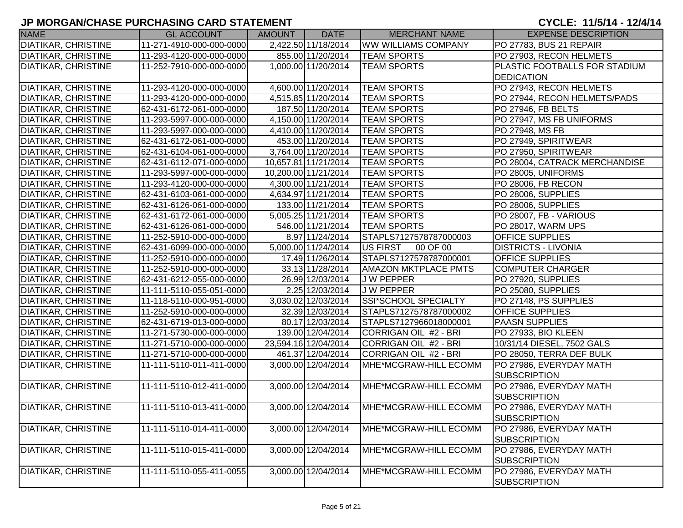| <b>NAME</b>                | <b>GL ACCOUNT</b>        | AMOUNT | <b>DATE</b>          | <b>MERCHANT NAME</b>        | <b>EXPENSE DESCRIPTION</b>    |
|----------------------------|--------------------------|--------|----------------------|-----------------------------|-------------------------------|
| <b>DIATIKAR, CHRISTINE</b> | 11-271-4910-000-000-0000 |        | 2,422.50 11/18/2014  | <b>WW WILLIAMS COMPANY</b>  | PO 27783, BUS 21 REPAIR       |
| <b>DIATIKAR, CHRISTINE</b> | 11-293-4120-000-000-0000 |        | 855.00 11/20/2014    | <b>TEAM SPORTS</b>          | PO 27903, RECON HELMETS       |
| <b>DIATIKAR, CHRISTINE</b> | 11-252-7910-000-000-0000 |        | 1,000.00 11/20/2014  | <b>TEAM SPORTS</b>          | PLASTIC FOOTBALLS FOR STADIUM |
|                            |                          |        |                      |                             | <b>DEDICATION</b>             |
| <b>DIATIKAR, CHRISTINE</b> | 11-293-4120-000-000-0000 |        | 4,600.00 11/20/2014  | <b>TEAM SPORTS</b>          | PO 27943, RECON HELMETS       |
| <b>DIATIKAR, CHRISTINE</b> | 11-293-4120-000-000-0000 |        | 4,515.85 11/20/2014  | <b>TEAM SPORTS</b>          | PO 27944, RECON HELMETS/PADS  |
| <b>DIATIKAR, CHRISTINE</b> | 62-431-6172-061-000-0000 |        | 187.50 11/20/2014    | <b>TEAM SPORTS</b>          | PO 27946, FB BELTS            |
| <b>DIATIKAR, CHRISTINE</b> | 11-293-5997-000-000-0000 |        | 4,150.00 11/20/2014  | <b>TEAM SPORTS</b>          | PO 27947, MS FB UNIFORMS      |
| <b>DIATIKAR, CHRISTINE</b> | 11-293-5997-000-000-0000 |        | 4,410.00 11/20/2014  | <b>TEAM SPORTS</b>          | PO 27948, MS FB               |
| <b>DIATIKAR, CHRISTINE</b> | 62-431-6172-061-000-0000 |        | 453.00 11/20/2014    | <b>TEAM SPORTS</b>          | PO 27949, SPIRITWEAR          |
| <b>DIATIKAR, CHRISTINE</b> | 62-431-6104-061-000-0000 |        | 3,764.00 11/20/2014  | <b>TEAM SPORTS</b>          | PO 27950, SPIRITWEAR          |
| <b>DIATIKAR, CHRISTINE</b> | 62-431-6112-071-000-0000 |        | 10,657.81 11/21/2014 | <b>TEAM SPORTS</b>          | PO 28004, CATRACK MERCHANDISE |
| <b>DIATIKAR, CHRISTINE</b> | 11-293-5997-000-000-0000 |        | 10,200.00 11/21/2014 | <b>TEAM SPORTS</b>          | PO 28005, UNIFORMS            |
| <b>DIATIKAR, CHRISTINE</b> | 11-293-4120-000-000-0000 |        | 4,300.00 11/21/2014  | <b>TEAM SPORTS</b>          | PO 28006, FB RECON            |
| <b>DIATIKAR, CHRISTINE</b> | 62-431-6103-061-000-0000 |        | 4,634.97 11/21/2014  | <b>TEAM SPORTS</b>          | PO 28006, SUPPLIES            |
| <b>DIATIKAR, CHRISTINE</b> | 62-431-6126-061-000-0000 |        | 133.00 11/21/2014    | <b>TEAM SPORTS</b>          | PO 28006, SUPPLIES            |
| <b>DIATIKAR, CHRISTINE</b> | 62-431-6172-061-000-0000 |        | 5,005.25 11/21/2014  | <b>TEAM SPORTS</b>          | PO 28007, FB - VARIOUS        |
| <b>DIATIKAR, CHRISTINE</b> | 62-431-6126-061-000-0000 |        | 546.00 11/21/2014    | <b>TEAM SPORTS</b>          | PO 28017, WARM UPS            |
| <b>DIATIKAR, CHRISTINE</b> | 11-252-5910-000-000-0000 |        | 8.97 11/24/2014      | STAPLS7127578787000003      | <b>OFFICE SUPPLIES</b>        |
| <b>DIATIKAR, CHRISTINE</b> | 62-431-6099-000-000-0000 |        | 5,000.00 11/24/2014  | US FIRST<br>00 OF 00        | <b>DISTRICTS - LIVONIA</b>    |
| <b>DIATIKAR, CHRISTINE</b> | 11-252-5910-000-000-0000 |        | 17.49 11/26/2014     | STAPLS7127578787000001      | <b>OFFICE SUPPLIES</b>        |
| DIATIKAR, CHRISTINE        | 11-252-5910-000-000-0000 |        | 33.13 11/28/2014     | <b>AMAZON MKTPLACE PMTS</b> | <b>COMPUTER CHARGER</b>       |
| <b>DIATIKAR, CHRISTINE</b> | 62-431-6212-055-000-0000 |        | 26.99 12/03/2014     | J W PEPPER                  | PO 27920, SUPPLIES            |
| <b>DIATIKAR, CHRISTINE</b> | 11-111-5110-055-051-0000 |        | 2.25 12/03/2014      | J W PEPPER                  | PO 25080, SUPPLIES            |
| <b>DIATIKAR, CHRISTINE</b> | 11-118-5110-000-951-0000 |        | 3,030.02 12/03/2014  | SSI*SCHOOL SPECIALTY        | PO 27148, PS SUPPLIES         |
| <b>DIATIKAR, CHRISTINE</b> | 11-252-5910-000-000-0000 |        | 32.39 12/03/2014     | STAPLS7127578787000002      | <b>OFFICE SUPPLIES</b>        |
| <b>DIATIKAR, CHRISTINE</b> | 62-431-6719-013-000-0000 |        | 80.17 12/03/2014     | STAPLS7127966018000001      | <b>PAASN SUPPLIES</b>         |
| <b>DIATIKAR, CHRISTINE</b> | 11-271-5730-000-000-0000 |        | 139.00 12/04/2014    | CORRIGAN OIL #2 - BRI       | PO 27933, BIO KLEEN           |
| <b>DIATIKAR, CHRISTINE</b> | 11-271-5710-000-000-0000 |        | 23,594.16 12/04/2014 | CORRIGAN OIL #2 - BRI       | 10/31/14 DIESEL, 7502 GALS    |
| <b>DIATIKAR, CHRISTINE</b> | 11-271-5710-000-000-0000 |        | 461.37 12/04/2014    | CORRIGAN OIL #2 - BRI       | PO 28050, TERRA DEF BULK      |
| DIATIKAR, CHRISTINE        | 11-111-5110-011-411-0000 |        | 3,000.00 12/04/2014  | MHE*MCGRAW-HILL ECOMM       | PO 27986, EVERYDAY MATH       |
|                            |                          |        |                      |                             | SUBSCRIPTION                  |
| DIATIKAR, CHRISTINE        | 11-111-5110-012-411-0000 |        | 3,000.00 12/04/2014  | MHE*MCGRAW-HILL ECOMM       | PO 27986, EVERYDAY MATH       |
|                            |                          |        |                      |                             | SUBSCRIPTION                  |
| <b>DIATIKAR, CHRISTINE</b> | 11-111-5110-013-411-0000 |        | 3,000.00 12/04/2014  | MHE*MCGRAW-HILL ECOMM       | PO 27986, EVERYDAY MATH       |
|                            |                          |        |                      |                             | SUBSCRIPTION                  |
| DIATIKAR, CHRISTINE        | 11-111-5110-014-411-0000 |        | 3,000.00 12/04/2014  | MHE*MCGRAW-HILL ECOMM       | PO 27986, EVERYDAY MATH       |
|                            |                          |        |                      |                             | SUBSCRIPTION                  |
| <b>DIATIKAR, CHRISTINE</b> | 11-111-5110-015-411-0000 |        | 3,000.00 12/04/2014  | MHE*MCGRAW-HILL ECOMM       | PO 27986, EVERYDAY MATH       |
|                            |                          |        |                      |                             | SUBSCRIPTION                  |
| <b>DIATIKAR, CHRISTINE</b> | 11-111-5110-055-411-0055 |        | 3,000.00 12/04/2014  | MHE*MCGRAW-HILL ECOMM       | PO 27986, EVERYDAY MATH       |
|                            |                          |        |                      |                             | <b>SUBSCRIPTION</b>           |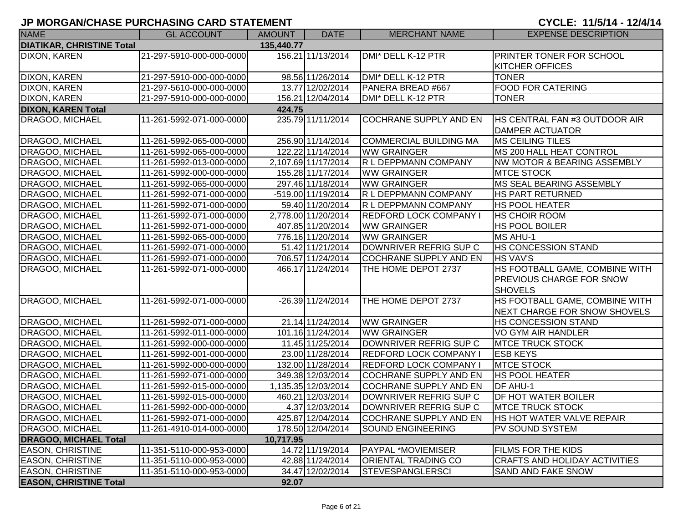| <b>NAME</b>                      | <b>GL ACCOUNT</b>        | <b>AMOUNT</b> | <b>DATE</b>          | <b>MERCHANT NAME</b>          | <b>EXPENSE DESCRIPTION</b>             |
|----------------------------------|--------------------------|---------------|----------------------|-------------------------------|----------------------------------------|
| <b>DIATIKAR, CHRISTINE Total</b> |                          | 135,440.77    |                      |                               |                                        |
| <b>DIXON, KAREN</b>              | 21-297-5910-000-000-0000 |               | 156.21 11/13/2014    | DMI* DELL K-12 PTR            | <b>PRINTER TONER FOR SCHOOL</b>        |
|                                  |                          |               |                      |                               | KITCHER OFFICES                        |
| <b>DIXON, KAREN</b>              | 21-297-5910-000-000-0000 |               | 98.56 11/26/2014     | DMI* DELL K-12 PTR            | <b>TONER</b>                           |
| <b>DIXON, KAREN</b>              | 21-297-5610-000-000-0000 |               | 13.77 12/02/2014     | PANERA BREAD #667             | <b>FOOD FOR CATERING</b>               |
| DIXON, KAREN                     | 21-297-5910-000-000-0000 |               | 156.21 12/04/2014    | DMI* DELL K-12 PTR            | <b>TONER</b>                           |
| <b>DIXON, KAREN Total</b>        |                          | 424.75        |                      |                               |                                        |
| DRAGOO, MICHAEL                  | 11-261-5992-071-000-0000 |               | 235.79 11/11/2014    | <b>COCHRANE SUPPLY AND EN</b> | <b>HS CENTRAL FAN #3 OUTDOOR AIR</b>   |
|                                  |                          |               |                      |                               | <b>DAMPER ACTUATOR</b>                 |
| DRAGOO, MICHAEL                  | 11-261-5992-065-000-0000 |               | 256.90 11/14/2014    | <b>COMMERCIAL BUILDING MA</b> | <b>MS CEILING TILES</b>                |
| <b>DRAGOO, MICHAEL</b>           | 11-261-5992-065-000-0000 |               | 122.22 11/14/2014    | <b>WW GRAINGER</b>            | MS 200 HALL HEAT CONTROL               |
| DRAGOO, MICHAEL                  | 11-261-5992-013-000-0000 |               | 2,107.69 11/17/2014  | R L DEPPMANN COMPANY          | <b>NW MOTOR &amp; BEARING ASSEMBLY</b> |
| DRAGOO, MICHAEL                  | 11-261-5992-000-000-0000 |               | 155.28 11/17/2014    | <b>WW GRAINGER</b>            | <b>MTCE STOCK</b>                      |
| <b>DRAGOO, MICHAEL</b>           | 11-261-5992-065-000-0000 |               | 297.46 11/18/2014    | <b>WW GRAINGER</b>            | MS SEAL BEARING ASSEMBLY               |
| <b>DRAGOO, MICHAEL</b>           | 11-261-5992-071-000-0000 |               | $-519.00$ 11/19/2014 | R L DEPPMANN COMPANY          | <b>HS PART RETURNED</b>                |
| <b>DRAGOO, MICHAEL</b>           | 11-261-5992-071-000-0000 |               | 59.40 11/20/2014     | R L DEPPMANN COMPANY          | <b>HS POOL HEATER</b>                  |
| DRAGOO, MICHAEL                  | 11-261-5992-071-000-0000 |               | 2,778.00 11/20/2014  | <b>REDFORD LOCK COMPANY I</b> | <b>HS CHOIR ROOM</b>                   |
| <b>DRAGOO, MICHAEL</b>           | 11-261-5992-071-000-0000 |               | 407.85 11/20/2014    | <b>WW GRAINGER</b>            | <b>HS POOL BOILER</b>                  |
| <b>DRAGOO, MICHAEL</b>           | 11-261-5992-065-000-0000 |               | 776.16 11/20/2014    | <b>WW GRAINGER</b>            | <b>MS AHU-1</b>                        |
| <b>DRAGOO, MICHAEL</b>           | 11-261-5992-071-000-0000 |               | 51.42 11/21/2014     | DOWNRIVER REFRIG SUP C        | <b>HS CONCESSION STAND</b>             |
| DRAGOO, MICHAEL                  | 11-261-5992-071-000-0000 |               | 706.57 11/24/2014    | <b>COCHRANE SUPPLY AND EN</b> | <b>HS VAV'S</b>                        |
| DRAGOO, MICHAEL                  | 11-261-5992-071-000-0000 |               | 466.17 11/24/2014    | THE HOME DEPOT 2737           | HS FOOTBALL GAME, COMBINE WITH         |
|                                  |                          |               |                      |                               | <b>PREVIOUS CHARGE FOR SNOW</b>        |
|                                  |                          |               |                      |                               | <b>SHOVELS</b>                         |
| DRAGOO, MICHAEL                  | 11-261-5992-071-000-0000 |               | -26.39 11/24/2014    | THE HOME DEPOT 2737           | HS FOOTBALL GAME, COMBINE WITH         |
|                                  |                          |               |                      |                               | NEXT CHARGE FOR SNOW SHOVELS           |
| DRAGOO, MICHAEL                  | 11-261-5992-071-000-0000 |               | 21.14 11/24/2014     | <b>WW GRAINGER</b>            | <b>HS CONCESSION STAND</b>             |
| DRAGOO, MICHAEL                  | 11-261-5992-011-000-0000 |               | 101.16 11/24/2014    | <b>WW GRAINGER</b>            | VO GYM AIR HANDLER                     |
| <b>DRAGOO, MICHAEL</b>           | 11-261-5992-000-000-0000 |               | 11.45 11/25/2014     | DOWNRIVER REFRIG SUP C        | <b>MTCE TRUCK STOCK</b>                |
| DRAGOO, MICHAEL                  | 11-261-5992-001-000-0000 |               | 23.00 11/28/2014     | REDFORD LOCK COMPANY I        | <b>ESB KEYS</b>                        |
| DRAGOO, MICHAEL                  | 11-261-5992-000-000-0000 |               | 132.00 11/28/2014    | REDFORD LOCK COMPANY I        | <b>MTCE STOCK</b>                      |
| DRAGOO, MICHAEL                  | 11-261-5992-071-000-0000 |               | 349.38 12/03/2014    | COCHRANE SUPPLY AND EN        | <b>HS POOL HEATER</b>                  |
| DRAGOO, MICHAEL                  | 11-261-5992-015-000-0000 |               | 1,135.35 12/03/2014  | <b>COCHRANE SUPPLY AND EN</b> | <b>DF AHU-1</b>                        |
| <b>DRAGOO, MICHAEL</b>           | 11-261-5992-015-000-0000 |               | 460.21 12/03/2014    | DOWNRIVER REFRIG SUP C        | <b>DF HOT WATER BOILER</b>             |
| <b>DRAGOO, MICHAEL</b>           | 11-261-5992-000-000-0000 |               | 4.37 12/03/2014      | DOWNRIVER REFRIG SUP C        | <b>IMTCE TRUCK STOCK</b>               |
| DRAGOO, MICHAEL                  | 11-261-5992-071-000-0000 |               | 425.87 12/04/2014    | <b>COCHRANE SUPPLY AND EN</b> | <b>HS HOT WATER VALVE REPAIR</b>       |
| <b>DRAGOO, MICHAEL</b>           | 11-261-4910-014-000-0000 |               | 178.50 12/04/2014    | <b>SOUND ENGINEERING</b>      | <b>PV SOUND SYSTEM</b>                 |
| <b>DRAGOO, MICHAEL Total</b>     |                          | 10,717.95     |                      |                               |                                        |
| <b>EASON, CHRISTINE</b>          | 11-351-5110-000-953-0000 |               | 14.72 11/19/2014     | <b>PAYPAL *MOVIEMISER</b>     | <b>FILMS FOR THE KIDS</b>              |
| <b>EASON, CHRISTINE</b>          | 11-351-5110-000-953-0000 |               | 42.88 11/24/2014     | <b>ORIENTAL TRADING CO</b>    | <b>CRAFTS AND HOLIDAY ACTIVITIES</b>   |
| <b>EASON, CHRISTINE</b>          | 11-351-5110-000-953-0000 |               | 34.47 12/02/2014     | <b>STEVESPANGLERSCI</b>       | <b>SAND AND FAKE SNOW</b>              |
| <b>EASON, CHRISTINE Total</b>    |                          | 92.07         |                      |                               |                                        |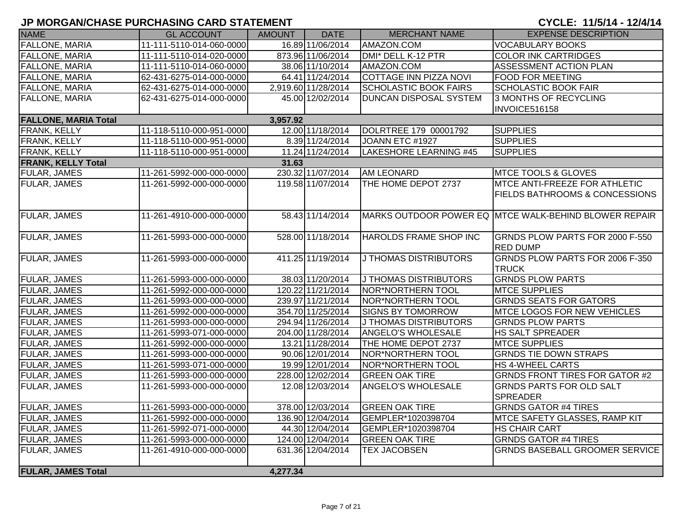| <b>NAME</b>                 | <b>GL ACCOUNT</b>        | <b>AMOUNT</b> | <b>DATE</b>         | <b>MERCHANT NAME</b>          | <b>EXPENSE DESCRIPTION</b>                            |
|-----------------------------|--------------------------|---------------|---------------------|-------------------------------|-------------------------------------------------------|
| FALLONE, MARIA              | 11-111-5110-014-060-0000 |               | 16.89 11/06/2014    | AMAZON.COM                    | <b>VOCABULARY BOOKS</b>                               |
| <b>FALLONE, MARIA</b>       | 11-111-5110-014-020-0000 |               | 873.96 11/06/2014   | DMI* DELL K-12 PTR            | <b>COLOR INK CARTRIDGES</b>                           |
| <b>FALLONE, MARIA</b>       | 11-111-5110-014-060-0000 |               | 38.06 11/10/2014    | AMAZON.COM                    | ASSESSMENT ACTION PLAN                                |
| <b>FALLONE, MARIA</b>       | 62-431-6275-014-000-0000 |               | 64.41 11/24/2014    | <b>COTTAGE INN PIZZA NOVI</b> | <b>FOOD FOR MEETING</b>                               |
| FALLONE, MARIA              | 62-431-6275-014-000-0000 |               | 2,919.60 11/28/2014 | <b>SCHOLASTIC BOOK FAIRS</b>  | <b>SCHOLASTIC BOOK FAIR</b>                           |
| <b>FALLONE, MARIA</b>       | 62-431-6275-014-000-0000 |               | 45.00 12/02/2014    | <b>DUNCAN DISPOSAL SYSTEM</b> | 3 MONTHS OF RECYCLING                                 |
|                             |                          |               |                     |                               | INVOICE516158                                         |
| <b>FALLONE, MARIA Total</b> |                          | 3,957.92      |                     |                               |                                                       |
| FRANK, KELLY                | 11-118-5110-000-951-0000 |               | 12.00 11/18/2014    | DOLRTREE 179 00001792         | <b>SUPPLIES</b>                                       |
| FRANK, KELLY                | 11-118-5110-000-951-0000 |               | 8.39 11/24/2014     | JOANN ETC #1927               | <b>SUPPLIES</b>                                       |
| FRANK, KELLY                | 11-118-5110-000-951-0000 |               | 11.24 11/24/2014    | LAKESHORE LEARNING #45        | <b>SUPPLIES</b>                                       |
| <b>FRANK, KELLY Total</b>   |                          | 31.63         |                     |                               |                                                       |
| FULAR, JAMES                | 11-261-5992-000-000-0000 |               | 230.32 11/07/2014   | <b>AM LEONARD</b>             | <b>MTCE TOOLS &amp; GLOVES</b>                        |
| FULAR, JAMES                | 11-261-5992-000-000-0000 |               | 119.58 11/07/2014   | THE HOME DEPOT 2737           | <b>MTCE ANTI-FREEZE FOR ATHLETIC</b>                  |
|                             |                          |               |                     |                               | <b>FIELDS BATHROOMS &amp; CONCESSIONS</b>             |
|                             |                          |               |                     |                               |                                                       |
| <b>FULAR, JAMES</b>         | 11-261-4910-000-000-0000 |               | 58.43 11/14/2014    |                               | MARKS OUTDOOR POWER EQ MTCE WALK-BEHIND BLOWER REPAIR |
|                             |                          |               |                     |                               |                                                       |
| <b>FULAR, JAMES</b>         | 11-261-5993-000-000-0000 |               | 528.00 11/18/2014   | HAROLDS FRAME SHOP INC        | GRNDS PLOW PARTS FOR 2000 F-550                       |
|                             |                          |               |                     |                               | <b>RED DUMP</b>                                       |
| <b>FULAR, JAMES</b>         | 11-261-5993-000-000-0000 |               | 411.25 11/19/2014   | <b>J THOMAS DISTRIBUTORS</b>  | GRNDS PLOW PARTS FOR 2006 F-350                       |
|                             |                          |               |                     |                               | <b>TRUCK</b>                                          |
| <b>FULAR, JAMES</b>         | 11-261-5993-000-000-0000 |               | 38.03 11/20/2014    | J THOMAS DISTRIBUTORS         | <b>GRNDS PLOW PARTS</b>                               |
| <b>FULAR, JAMES</b>         | 11-261-5992-000-000-0000 |               | 120.22 11/21/2014   | NOR*NORTHERN TOOL             | <b>MTCE SUPPLIES</b>                                  |
| <b>FULAR, JAMES</b>         | 11-261-5993-000-000-0000 |               | 239.97 11/21/2014   | NOR*NORTHERN TOOL             | <b>GRNDS SEATS FOR GATORS</b>                         |
| <b>FULAR, JAMES</b>         | 11-261-5992-000-000-0000 |               | 354.70 11/25/2014   | <b>SIGNS BY TOMORROW</b>      | <b>MTCE LOGOS FOR NEW VEHICLES</b>                    |
| FULAR, JAMES                | 11-261-5993-000-000-0000 |               | 294.94 11/26/2014   | <b>J THOMAS DISTRIBUTORS</b>  | <b>GRNDS PLOW PARTS</b>                               |
| FULAR, JAMES                | 11-261-5993-071-000-0000 |               | 204.00 11/28/2014   | <b>ANGELO'S WHOLESALE</b>     | HS SALT SPREADER                                      |
| <b>FULAR, JAMES</b>         | 11-261-5992-000-000-0000 |               | 13.21 11/28/2014    | THE HOME DEPOT 2737           | <b>MTCE SUPPLIES</b>                                  |
| <b>FULAR, JAMES</b>         | 11-261-5993-000-000-0000 |               | 90.06 12/01/2014    | <b>NOR*NORTHERN TOOL</b>      | <b>GRNDS TIE DOWN STRAPS</b>                          |
| FULAR, JAMES                | 11-261-5993-071-000-0000 |               | 19.99 12/01/2014    | NOR*NORTHERN TOOL             | <b>HS 4-WHEEL CARTS</b>                               |
| FULAR, JAMES                | 11-261-5993-000-000-0000 |               | 228.00 12/02/2014   | <b>GREEN OAK TIRE</b>         | <b>GRNDS FRONT TIRES FOR GATOR #2</b>                 |
| <b>FULAR, JAMES</b>         | 11-261-5993-000-000-0000 |               | 12.08 12/03/2014    | ANGELO'S WHOLESALE            | <b>GRNDS PARTS FOR OLD SALT</b>                       |
|                             |                          |               |                     |                               | <b>SPREADER</b>                                       |
| <b>FULAR, JAMES</b>         | 11-261-5993-000-000-0000 |               | 378.00 12/03/2014   | <b>GREEN OAK TIRE</b>         | <b>GRNDS GATOR #4 TIRES</b>                           |
| <b>FULAR, JAMES</b>         | 11-261-5992-000-000-0000 |               | 136.90 12/04/2014   | GEMPLER*1020398704            | MTCE SAFETY GLASSES, RAMP KIT                         |
| FULAR, JAMES                | 11-261-5992-071-000-0000 |               | 44.30 12/04/2014    | GEMPLER*1020398704            | <b>HS CHAIR CART</b>                                  |
| FULAR, JAMES                | 11-261-5993-000-000-0000 |               | 124.00 12/04/2014   | <b>GREEN OAK TIRE</b>         | <b>GRNDS GATOR #4 TIRES</b>                           |
| FULAR, JAMES                | 11-261-4910-000-000-0000 |               | 631.36 12/04/2014   | <b>TEX JACOBSEN</b>           | <b>GRNDS BASEBALL GROOMER SERVICE</b>                 |
|                             |                          |               |                     |                               |                                                       |
| <b>FULAR, JAMES Total</b>   |                          | 4,277.34      |                     |                               |                                                       |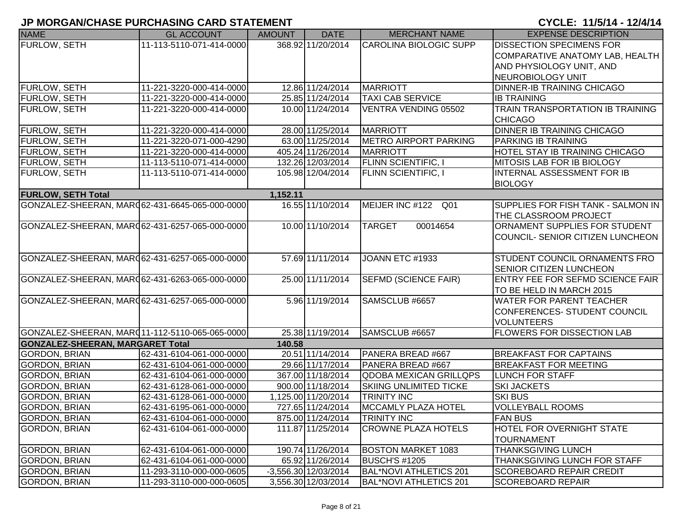| <b>NAME</b>                                    | <b>GL ACCOUNT</b>        | <b>AMOUNT</b> | <b>DATE</b>          | <b>MERCHANT NAME</b>          | <b>EXPENSE DESCRIPTION</b>                                         |
|------------------------------------------------|--------------------------|---------------|----------------------|-------------------------------|--------------------------------------------------------------------|
| <b>FURLOW, SETH</b>                            | 11-113-5110-071-414-0000 |               | 368.92 11/20/2014    | <b>CAROLINA BIOLOGIC SUPP</b> | <b>DISSECTION SPECIMENS FOR</b>                                    |
|                                                |                          |               |                      |                               | COMPARATIVE ANATOMY LAB, HEALTH                                    |
|                                                |                          |               |                      |                               | <b>AND PHYSIOLOGY UNIT, AND</b>                                    |
|                                                |                          |               |                      |                               | NEUROBIOLOGY UNIT                                                  |
| <b>FURLOW, SETH</b>                            | 11-221-3220-000-414-0000 |               | 12.86 11/24/2014     | <b>MARRIOTT</b>               | <b>DINNER-IB TRAINING CHICAGO</b>                                  |
| <b>FURLOW, SETH</b>                            | 11-221-3220-000-414-0000 |               | 25.85 11/24/2014     | <b>TAXI CAB SERVICE</b>       | <b>IB TRAINING</b>                                                 |
| <b>FURLOW, SETH</b>                            | 11-221-3220-000-414-0000 |               | 10.00 11/24/2014     | VENTRA VENDING 05502          | TRAIN TRANSPORTATION IB TRAINING<br><b>CHICAGO</b>                 |
| FURLOW, SETH                                   | 11-221-3220-000-414-0000 |               | 28.00 11/25/2014     | <b>MARRIOTT</b>               | <b>DINNER IB TRAINING CHICAGO</b>                                  |
| <b>FURLOW, SETH</b>                            | 11-221-3220-071-000-4290 |               | 63.00 11/25/2014     | <b>METRO AIRPORT PARKING</b>  | PARKING IB TRAINING                                                |
| <b>FURLOW, SETH</b>                            | 11-221-3220-000-414-0000 |               | 405.24 11/26/2014    | <b>MARRIOTT</b>               | <b>HOTEL STAY IB TRAINING CHICAGO</b>                              |
| <b>FURLOW, SETH</b>                            | 11-113-5110-071-414-0000 |               | 132.26 12/03/2014    | <b>FLINN SCIENTIFIC, I</b>    | MITOSIS LAB FOR IB BIOLOGY                                         |
| <b>FURLOW, SETH</b>                            | 11-113-5110-071-414-0000 |               | 105.98 12/04/2014    | <b>FLINN SCIENTIFIC, I</b>    | INTERNAL ASSESSMENT FOR IB                                         |
|                                                |                          |               |                      |                               | <b>BIOLOGY</b>                                                     |
| <b>FURLOW, SETH Total</b>                      |                          | 1,152.11      |                      |                               |                                                                    |
| GONZALEZ-SHEERAN, MARQ62-431-6645-065-000-0000 |                          |               | 16.55 11/10/2014     | MEIJER INC #122 Q01           | SUPPLIES FOR FISH TANK - SALMON IN<br><b>THE CLASSROOM PROJECT</b> |
| GONZALEZ-SHEERAN, MARC62-431-6257-065-000-0000 |                          |               | 10.00 11/10/2014     | <b>TARGET</b><br>00014654     | ORNAMENT SUPPLIES FOR STUDENT                                      |
|                                                |                          |               |                      |                               | COUNCIL- SENIOR CITIZEN LUNCHEON                                   |
|                                                |                          |               |                      |                               |                                                                    |
| GONZALEZ-SHEERAN, MARC62-431-6257-065-000-0000 |                          |               | 57.69 11/11/2014     | JOANN ETC #1933               | <b>STUDENT COUNCIL ORNAMENTS FRO</b>                               |
|                                                |                          |               |                      |                               | <b>SENIOR CITIZEN LUNCHEON</b>                                     |
| GONZALEZ-SHEERAN, MARQ62-431-6263-065-000-0000 |                          |               | 25.00 11/11/2014     | SEFMD (SCIENCE FAIR)          | <b>ENTRY FEE FOR SEFMD SCIENCE FAIR</b>                            |
|                                                |                          |               |                      |                               | TO BE HELD IN MARCH 2015                                           |
| GONZALEZ-SHEERAN, MARQ62-431-6257-065-000-0000 |                          |               | 5.96 11/19/2014      | SAMSCLUB #6657                | <b>WATER FOR PARENT TEACHER</b>                                    |
|                                                |                          |               |                      |                               | CONFERENCES- STUDENT COUNCIL                                       |
|                                                |                          |               |                      |                               | <b>VOLUNTEERS</b>                                                  |
| GONZALEZ-SHEERAN, MARQ11-112-5110-065-065-0000 |                          |               | 25.38 11/19/2014     | SAMSCLUB #6657                | <b>FLOWERS FOR DISSECTION LAB</b>                                  |
| <b>GONZALEZ-SHEERAN, MARGARET Total</b>        |                          | 140.58        |                      |                               |                                                                    |
| <b>GORDON, BRIAN</b>                           | 62-431-6104-061-000-0000 |               | 20.51 11/14/2014     | PANERA BREAD #667             | <b>BREAKFAST FOR CAPTAINS</b>                                      |
| <b>GORDON, BRIAN</b>                           | 62-431-6104-061-000-0000 |               | 29.66 11/17/2014     | PANERA BREAD #667             | <b>BREAKFAST FOR MEETING</b>                                       |
| <b>GORDON, BRIAN</b>                           | 62-431-6104-061-000-0000 |               | 367.00 11/18/2014    | <b>QDOBA MEXICAN GRILLQPS</b> | <b>LUNCH FOR STAFF</b>                                             |
| <b>GORDON, BRIAN</b>                           | 62-431-6128-061-000-0000 |               | 900.00 11/18/2014    | <b>SKIING UNLIMITED TICKE</b> | <b>SKI JACKETS</b>                                                 |
| <b>GORDON, BRIAN</b>                           | 62-431-6128-061-000-0000 |               | 1,125.00 11/20/2014  | <b>TRINITY INC</b>            | <b>SKI BUS</b>                                                     |
| <b>GORDON, BRIAN</b>                           | 62-431-6195-061-000-0000 |               | 727.65 11/24/2014    | MCCAMLY PLAZA HOTEL           | <b>VOLLEYBALL ROOMS</b>                                            |
| <b>GORDON, BRIAN</b>                           | 62-431-6104-061-000-0000 |               | 875.00 11/24/2014    | <b>TRINITY INC</b>            | <b>FAN BUS</b>                                                     |
| <b>GORDON, BRIAN</b>                           | 62-431-6104-061-000-0000 |               | 111.87 11/25/2014    | <b>CROWNE PLAZA HOTELS</b>    | <b>HOTEL FOR OVERNIGHT STATE</b>                                   |
|                                                |                          |               |                      |                               | <b>TOURNAMENT</b>                                                  |
| <b>GORDON, BRIAN</b>                           | 62-431-6104-061-000-0000 |               | 190.74 11/26/2014    | <b>BOSTON MARKET 1083</b>     | <b>THANKSGIVING LUNCH</b>                                          |
| <b>GORDON, BRIAN</b>                           | 62-431-6104-061-000-0000 |               | 65.92 11/26/2014     | <b>BUSCH'S #1205</b>          | THANKSGIVING LUNCH FOR STAFF                                       |
| <b>GORDON, BRIAN</b>                           | 11-293-3110-000-000-0605 |               | -3,556.30 12/03/2014 | <b>BAL*NOVI ATHLETICS 201</b> | SCOREBOARD REPAIR CREDIT                                           |
| <b>GORDON, BRIAN</b>                           | 11-293-3110-000-000-0605 |               | 3,556.30 12/03/2014  | <b>BAL*NOVI ATHLETICS 201</b> | <b>SCOREBOARD REPAIR</b>                                           |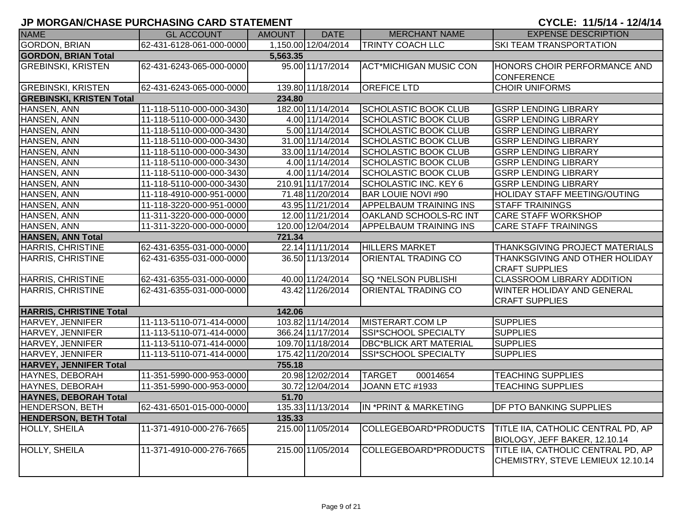| <b>NAME</b>                     | <b>GL ACCOUNT</b>        | AMOUNT   | <b>DATE</b>         | <b>MERCHANT NAME</b>          | <b>EXPENSE DESCRIPTION</b>                                              |
|---------------------------------|--------------------------|----------|---------------------|-------------------------------|-------------------------------------------------------------------------|
| <b>GORDON, BRIAN</b>            | 62-431-6128-061-000-0000 |          | 1,150.00 12/04/2014 | <b>TRINTY COACH LLC</b>       | <b>SKI TEAM TRANSPORTATION</b>                                          |
| <b>GORDON, BRIAN Total</b>      |                          | 5,563.35 |                     |                               |                                                                         |
| <b>GREBINSKI, KRISTEN</b>       | 62-431-6243-065-000-0000 |          | 95.00 11/17/2014    | <b>ACT*MICHIGAN MUSIC CON</b> | HONORS CHOIR PERFORMANCE AND<br><b>CONFERENCE</b>                       |
| <b>GREBINSKI, KRISTEN</b>       | 62-431-6243-065-000-0000 |          | 139.80 11/18/2014   | <b>OREFICE LTD</b>            | <b>CHOIR UNIFORMS</b>                                                   |
| <b>GREBINSKI, KRISTEN Total</b> |                          | 234.80   |                     |                               |                                                                         |
| HANSEN, ANN                     | 11-118-5110-000-000-3430 |          | 182.00 11/14/2014   | <b>SCHOLASTIC BOOK CLUB</b>   | <b>GSRP LENDING LIBRARY</b>                                             |
| HANSEN, ANN                     | 11-118-5110-000-000-3430 |          | 4.00 11/14/2014     | <b>SCHOLASTIC BOOK CLUB</b>   | <b>GSRP LENDING LIBRARY</b>                                             |
| HANSEN, ANN                     | 11-118-5110-000-000-3430 |          | 5.00 11/14/2014     | <b>SCHOLASTIC BOOK CLUB</b>   | <b>GSRP LENDING LIBRARY</b>                                             |
| HANSEN, ANN                     | 11-118-5110-000-000-3430 |          | 31.00 11/14/2014    | <b>SCHOLASTIC BOOK CLUB</b>   | <b>GSRP LENDING LIBRARY</b>                                             |
| HANSEN, ANN                     | 11-118-5110-000-000-3430 |          | 33.00 11/14/2014    | <b>SCHOLASTIC BOOK CLUB</b>   | <b>GSRP LENDING LIBRARY</b>                                             |
| HANSEN, ANN                     | 11-118-5110-000-000-3430 |          | 4.00 11/14/2014     | <b>SCHOLASTIC BOOK CLUB</b>   | <b>GSRP LENDING LIBRARY</b>                                             |
| HANSEN, ANN                     | 11-118-5110-000-000-3430 |          | 4.00 11/14/2014     | <b>SCHOLASTIC BOOK CLUB</b>   | <b>GSRP LENDING LIBRARY</b>                                             |
| HANSEN, ANN                     | 11-118-5110-000-000-3430 |          | 210.91 11/17/2014   | <b>SCHOLASTIC INC. KEY 6</b>  | <b>GSRP LENDING LIBRARY</b>                                             |
| HANSEN, ANN                     | 11-118-4910-000-951-0000 |          | 71.48 11/20/2014    | <b>BAR LOUIE NOVI #90</b>     | HOLIDAY STAFF MEETING/OUTING                                            |
| HANSEN, ANN                     | 11-118-3220-000-951-0000 |          | 43.95 11/21/2014    | <b>APPELBAUM TRAINING INS</b> | <b>STAFF TRAININGS</b>                                                  |
| HANSEN, ANN                     | 11-311-3220-000-000-0000 |          | 12.00 11/21/2014    | <b>OAKLAND SCHOOLS-RC INT</b> | <b>CARE STAFF WORKSHOP</b>                                              |
| HANSEN, ANN                     | 11-311-3220-000-000-0000 |          | 120.00 12/04/2014   | <b>APPELBAUM TRAINING INS</b> | <b>CARE STAFF TRAININGS</b>                                             |
| <b>HANSEN, ANN Total</b>        |                          | 721.34   |                     |                               |                                                                         |
| <b>HARRIS, CHRISTINE</b>        | 62-431-6355-031-000-0000 |          | 22.14 11/11/2014    | <b>HILLERS MARKET</b>         | THANKSGIVING PROJECT MATERIALS                                          |
| <b>HARRIS, CHRISTINE</b>        | 62-431-6355-031-000-0000 |          | 36.50 11/13/2014    | <b>ORIENTAL TRADING CO</b>    | <b>THANKSGIVING AND OTHER HOLIDAY</b><br><b>CRAFT SUPPLIES</b>          |
| <b>HARRIS, CHRISTINE</b>        | 62-431-6355-031-000-0000 |          | 40.00 11/24/2014    | <b>SQ *NELSON PUBLISHI</b>    | <b>CLASSROOM LIBRARY ADDITION</b>                                       |
| <b>HARRIS, CHRISTINE</b>        | 62-431-6355-031-000-0000 |          | 43.42 11/26/2014    | ORIENTAL TRADING CO           | WINTER HOLIDAY AND GENERAL<br><b>CRAFT SUPPLIES</b>                     |
| <b>HARRIS, CHRISTINE Total</b>  |                          | 142.06   |                     |                               |                                                                         |
| HARVEY, JENNIFER                | 11-113-5110-071-414-0000 |          | 103.82 11/14/2014   | MISTERART.COM LP              | <b>SUPPLIES</b>                                                         |
| HARVEY, JENNIFER                | 11-113-5110-071-414-0000 |          | 366.24 11/17/2014   | <b>SSI*SCHOOL SPECIALTY</b>   | <b>SUPPLIES</b>                                                         |
| HARVEY, JENNIFER                | 11-113-5110-071-414-0000 |          | 109.70 11/18/2014   | <b>DBC*BLICK ART MATERIAL</b> | <b>SUPPLIES</b>                                                         |
| HARVEY, JENNIFER                | 11-113-5110-071-414-0000 |          | 175.42 11/20/2014   | <b>SSI*SCHOOL SPECIALTY</b>   | <b>SUPPLIES</b>                                                         |
| <b>HARVEY, JENNIFER Total</b>   |                          | 755.18   |                     |                               |                                                                         |
| HAYNES, DEBORAH                 | 11-351-5990-000-953-0000 |          | 20.98 12/02/2014    | <b>TARGET</b><br>00014654     | <b>TEACHING SUPPLIES</b>                                                |
| HAYNES, DEBORAH                 | 11-351-5990-000-953-0000 |          | 30.72 12/04/2014    | JOANN ETC #1933               | <b>TEACHING SUPPLIES</b>                                                |
| <b>HAYNES, DEBORAH Total</b>    |                          | 51.70    |                     |                               |                                                                         |
| <b>HENDERSON, BETH</b>          | 62-431-6501-015-000-0000 |          | 135.33 11/13/2014   | IN *PRINT & MARKETING         | <b>DF PTO BANKING SUPPLIES</b>                                          |
| <b>HENDERSON, BETH Total</b>    |                          | 135.33   |                     |                               |                                                                         |
| HOLLY, SHEILA                   | 11-371-4910-000-276-7665 |          | 215.00 11/05/2014   | COLLEGEBOARD*PRODUCTS         | TITLE IIA, CATHOLIC CENTRAL PD, AP<br>BIOLOGY, JEFF BAKER, 12.10.14     |
| <b>HOLLY, SHEILA</b>            | 11-371-4910-000-276-7665 |          | 215.00 11/05/2014   | COLLEGEBOARD*PRODUCTS         | TITLE IIA, CATHOLIC CENTRAL PD, AP<br>CHEMISTRY, STEVE LEMIEUX 12.10.14 |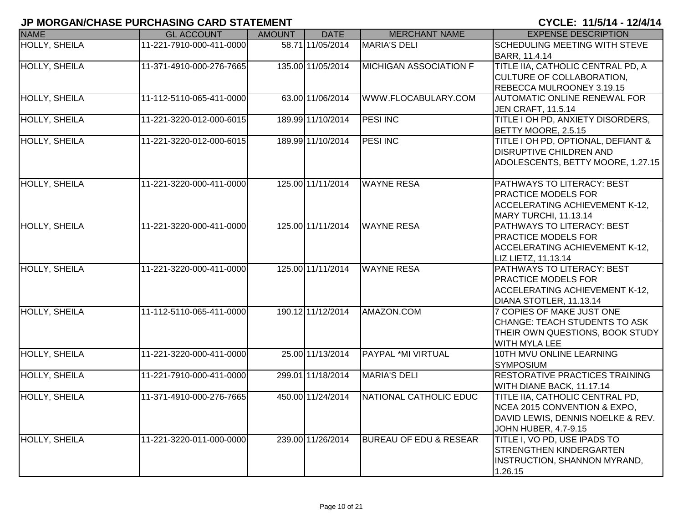| <b>NAME</b>          | <b>GL ACCOUNT</b>        | <b>AMOUNT</b> | <b>DATE</b>       | <b>MERCHANT NAME</b>              | <b>EXPENSE DESCRIPTION</b>                       |
|----------------------|--------------------------|---------------|-------------------|-----------------------------------|--------------------------------------------------|
| <b>HOLLY, SHEILA</b> | 11-221-7910-000-411-0000 |               | 58.71 11/05/2014  | <b>MARIA'S DELI</b>               | SCHEDULING MEETING WITH STEVE                    |
|                      |                          |               |                   |                                   | BARR, 11.4.14                                    |
| <b>HOLLY, SHEILA</b> | 11-371-4910-000-276-7665 |               | 135.00 11/05/2014 | <b>MICHIGAN ASSOCIATION F</b>     | TITLE IIA, CATHOLIC CENTRAL PD, A                |
|                      |                          |               |                   |                                   | CULTURE OF COLLABORATION,                        |
|                      |                          |               |                   |                                   | REBECCA MULROONEY 3.19.15                        |
| <b>HOLLY, SHEILA</b> | 11-112-5110-065-411-0000 |               | 63.00 11/06/2014  | WWW.FLOCABULARY.COM               | <b>AUTOMATIC ONLINE RENEWAL FOR</b>              |
|                      |                          |               |                   |                                   | <b>JEN CRAFT, 11.5.14</b>                        |
| <b>HOLLY, SHEILA</b> | 11-221-3220-012-000-6015 |               | 189.99 11/10/2014 | <b>PESI INC</b>                   | TITLE I OH PD, ANXIETY DISORDERS,                |
|                      |                          |               |                   |                                   | BETTY MOORE, 2.5.15                              |
| <b>HOLLY, SHEILA</b> | 11-221-3220-012-000-6015 |               | 189.99 11/10/2014 | <b>PESI INC</b>                   | TITLE I OH PD, OPTIONAL, DEFIANT &               |
|                      |                          |               |                   |                                   | <b>DISRUPTIVE CHILDREN AND</b>                   |
|                      |                          |               |                   |                                   | ADOLESCENTS, BETTY MOORE, 1.27.15                |
| <b>HOLLY, SHEILA</b> | 11-221-3220-000-411-0000 |               | 125.00 11/11/2014 | <b>WAYNE RESA</b>                 | PATHWAYS TO LITERACY: BEST                       |
|                      |                          |               |                   |                                   | PRACTICE MODELS FOR                              |
|                      |                          |               |                   |                                   | <b>ACCELERATING ACHIEVEMENT K-12,</b>            |
|                      |                          |               |                   |                                   | MARY TURCHI, 11.13.14                            |
| <b>HOLLY, SHEILA</b> | 11-221-3220-000-411-0000 |               | 125.00 11/11/2014 | <b>WAYNE RESA</b>                 | PATHWAYS TO LITERACY: BEST                       |
|                      |                          |               |                   |                                   | PRACTICE MODELS FOR                              |
|                      |                          |               |                   |                                   | ACCELERATING ACHIEVEMENT K-12,                   |
|                      |                          |               |                   |                                   | LIZ LIETZ, 11.13.14                              |
| <b>HOLLY, SHEILA</b> | 11-221-3220-000-411-0000 |               | 125.00 11/11/2014 | <b>WAYNE RESA</b>                 | PATHWAYS TO LITERACY: BEST                       |
|                      |                          |               |                   |                                   | PRACTICE MODELS FOR                              |
|                      |                          |               |                   |                                   | <b>ACCELERATING ACHIEVEMENT K-12,</b>            |
|                      |                          |               |                   |                                   | DIANA STOTLER, 11.13.14                          |
| <b>HOLLY, SHEILA</b> | 11-112-5110-065-411-0000 |               | 190.12 11/12/2014 | AMAZON.COM                        | 7 COPIES OF MAKE JUST ONE                        |
|                      |                          |               |                   |                                   | CHANGE: TEACH STUDENTS TO ASK                    |
|                      |                          |               |                   |                                   | THEIR OWN QUESTIONS, BOOK STUDY<br>WITH MYLA LEE |
| <b>HOLLY, SHEILA</b> | 11-221-3220-000-411-0000 |               | 25.00 11/13/2014  | <b>PAYPAL *MI VIRTUAL</b>         | 10TH MVU ONLINE LEARNING                         |
|                      |                          |               |                   |                                   | <b>SYMPOSIUM</b>                                 |
| <b>HOLLY, SHEILA</b> | 11-221-7910-000-411-0000 |               | 299.01 11/18/2014 | <b>MARIA'S DELI</b>               | RESTORATIVE PRACTICES TRAINING                   |
|                      |                          |               |                   |                                   | WITH DIANE BACK, 11.17.14                        |
| <b>HOLLY, SHEILA</b> | 11-371-4910-000-276-7665 |               | 450.00 11/24/2014 | NATIONAL CATHOLIC EDUC            | TITLE IIA, CATHOLIC CENTRAL PD,                  |
|                      |                          |               |                   |                                   | NCEA 2015 CONVENTION & EXPO.                     |
|                      |                          |               |                   |                                   | DAVID LEWIS, DENNIS NOELKE & REV.                |
|                      |                          |               |                   |                                   | <b>JOHN HUBER, 4.7-9.15</b>                      |
| <b>HOLLY, SHEILA</b> | 11-221-3220-011-000-0000 |               | 239.00 11/26/2014 | <b>BUREAU OF EDU &amp; RESEAR</b> | TITLE I, VO PD, USE IPADS TO                     |
|                      |                          |               |                   |                                   | <b>STRENGTHEN KINDERGARTEN</b>                   |
|                      |                          |               |                   |                                   | <b>INSTRUCTION, SHANNON MYRAND,</b>              |
|                      |                          |               |                   |                                   | 1.26.15                                          |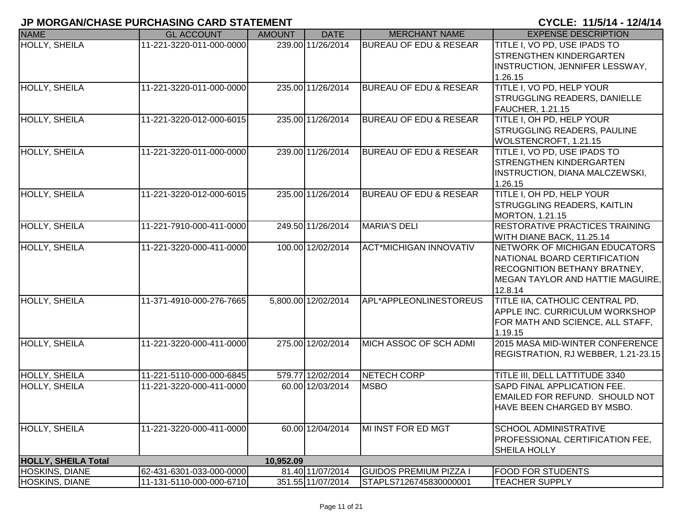|                            | ווושוום ואוס שנושא שוושמוש ושמווששמושמו וע |               |                     |                                   |                                                                                                                                              |
|----------------------------|--------------------------------------------|---------------|---------------------|-----------------------------------|----------------------------------------------------------------------------------------------------------------------------------------------|
| <b>NAME</b>                | <b>GL ACCOUNT</b>                          | <b>AMOUNT</b> | <b>DATE</b>         | <b>MERCHANT NAME</b>              | <b>EXPENSE DESCRIPTION</b>                                                                                                                   |
| <b>HOLLY, SHEILA</b>       | 11-221-3220-011-000-0000                   |               | 239.00 11/26/2014   | <b>BUREAU OF EDU &amp; RESEAR</b> | TITLE I, VO PD, USE IPADS TO<br><b>STRENGTHEN KINDERGARTEN</b><br>INSTRUCTION, JENNIFER LESSWAY,<br>1.26.15                                  |
| <b>HOLLY, SHEILA</b>       | 11-221-3220-011-000-0000                   |               | 235.00 11/26/2014   | <b>BUREAU OF EDU &amp; RESEAR</b> | TITLE I, VO PD, HELP YOUR<br><b>STRUGGLING READERS, DANIELLE</b><br><b>FAUCHER, 1.21.15</b>                                                  |
| <b>HOLLY, SHEILA</b>       | 11-221-3220-012-000-6015                   |               | 235.00 11/26/2014   | <b>BUREAU OF EDU &amp; RESEAR</b> | TITLE I, OH PD, HELP YOUR<br><b>STRUGGLING READERS, PAULINE</b><br>WOLSTENCROFT, 1.21.15                                                     |
| HOLLY, SHEILA              | 11-221-3220-011-000-0000                   |               | 239.00 11/26/2014   | <b>BUREAU OF EDU &amp; RESEAR</b> | TITLE I, VO PD, USE IPADS TO<br><b>STRENGTHEN KINDERGARTEN</b><br><b>INSTRUCTION, DIANA MALCZEWSKI,</b><br>1.26.15                           |
| <b>HOLLY, SHEILA</b>       | 11-221-3220-012-000-6015                   |               | 235.00 11/26/2014   | <b>BUREAU OF EDU &amp; RESEAR</b> | TITLE I, OH PD, HELP YOUR<br>STRUGGLING READERS, KAITLIN<br>MORTON, 1.21.15                                                                  |
| <b>HOLLY, SHEILA</b>       | 11-221-7910-000-411-0000                   |               | 249.50 11/26/2014   | <b>MARIA'S DELI</b>               | RESTORATIVE PRACTICES TRAINING<br>WITH DIANE BACK, 11.25.14                                                                                  |
| <b>HOLLY, SHEILA</b>       | 11-221-3220-000-411-0000                   |               | 100.00 12/02/2014   | <b>ACT*MICHIGAN INNOVATIV</b>     | NETWORK OF MICHIGAN EDUCATORS<br>NATIONAL BOARD CERTIFICATION<br>RECOGNITION BETHANY BRATNEY,<br>MEGAN TAYLOR AND HATTIE MAGUIRE,<br>12.8.14 |
| <b>HOLLY, SHEILA</b>       | 11-371-4910-000-276-7665                   |               | 5,800.00 12/02/2014 | APL*APPLEONLINESTOREUS            | <b>TITLE IIA, CATHOLIC CENTRAL PD,</b><br><b>APPLE INC. CURRICULUM WORKSHOP</b><br>FOR MATH AND SCIENCE, ALL STAFF,<br>1.19.15               |
| <b>HOLLY, SHEILA</b>       | 11-221-3220-000-411-0000                   |               | 275.00 12/02/2014   | MICH ASSOC OF SCH ADMI            | 2015 MASA MID-WINTER CONFERENCE<br>REGISTRATION, RJ WEBBER, 1.21-23.15                                                                       |
| HOLLY, SHEILA              | 11-221-5110-000-000-6845                   |               | 579.77 12/02/2014   | NETECH CORP                       | TITLE III, DELL LATTITUDE 3340                                                                                                               |
| <b>HOLLY, SHEILA</b>       | 11-221-3220-000-411-0000                   |               | 60.00 12/03/2014    | <b>MSBO</b>                       | SAPD FINAL APPLICATION FEE.<br><b>EMAILED FOR REFUND. SHOULD NOT</b><br><b>HAVE BEEN CHARGED BY MSBO.</b>                                    |
| <b>HOLLY, SHEILA</b>       | 11-221-3220-000-411-0000                   |               | 60.00 12/04/2014    | MI INST FOR ED MGT                | <b>SCHOOL ADMINISTRATIVE</b><br>PROFESSIONAL CERTIFICATION FEE,<br><b>SHEILA HOLLY</b>                                                       |
| <b>HOLLY, SHEILA Total</b> |                                            | 10,952.09     |                     |                                   |                                                                                                                                              |
| <b>HOSKINS, DIANE</b>      | 62-431-6301-033-000-0000                   |               | 81.40 11/07/2014    | <b>GUIDOS PREMIUM PIZZA I</b>     | <b>FOOD FOR STUDENTS</b>                                                                                                                     |
| HOSKINS, DIANE             | 11-131-5110-000-000-6710                   |               | 351.55 11/07/2014   | STAPLS7126745830000001            | <b>TEACHER SUPPLY</b>                                                                                                                        |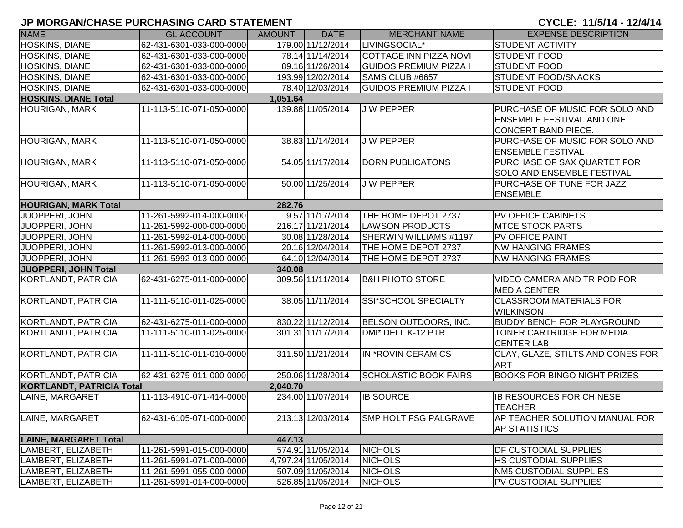| <b>NAME</b>                      | <b>GL ACCOUNT</b>        | <b>AMOUNT</b> | <b>DATE</b>         | <b>MERCHANT NAME</b>          | <b>EXPENSE DESCRIPTION</b>                                                                       |
|----------------------------------|--------------------------|---------------|---------------------|-------------------------------|--------------------------------------------------------------------------------------------------|
| HOSKINS, DIANE                   | 62-431-6301-033-000-0000 |               | 179.00 11/12/2014   | LIVINGSOCIAL*                 | <b>STUDENT ACTIVITY</b>                                                                          |
| <b>HOSKINS, DIANE</b>            | 62-431-6301-033-000-0000 |               | 78.14 11/14/2014    | <b>COTTAGE INN PIZZA NOVI</b> | <b>STUDENT FOOD</b>                                                                              |
| <b>HOSKINS, DIANE</b>            | 62-431-6301-033-000-0000 |               | 89.16 11/26/2014    | <b>GUIDOS PREMIUM PIZZA I</b> | <b>STUDENT FOOD</b>                                                                              |
| <b>HOSKINS, DIANE</b>            | 62-431-6301-033-000-0000 |               | 193.99 12/02/2014   | SAMS CLUB #6657               | <b>STUDENT FOOD/SNACKS</b>                                                                       |
| <b>HOSKINS, DIANE</b>            | 62-431-6301-033-000-0000 |               | 78.40 12/03/2014    | <b>GUIDOS PREMIUM PIZZA I</b> | <b>STUDENT FOOD</b>                                                                              |
| <b>HOSKINS, DIANE Total</b>      |                          | 1,051.64      |                     |                               |                                                                                                  |
| <b>HOURIGAN, MARK</b>            | 11-113-5110-071-050-0000 |               | 139.88 11/05/2014   | <b>JW PEPPER</b>              | PURCHASE OF MUSIC FOR SOLO AND<br><b>ENSEMBLE FESTIVAL AND ONE</b><br><b>CONCERT BAND PIECE.</b> |
| HOURIGAN, MARK                   | 11-113-5110-071-050-0000 |               | 38.83 11/14/2014    | <b>JW PEPPER</b>              | PURCHASE OF MUSIC FOR SOLO AND<br><b>ENSEMBLE FESTIVAL</b>                                       |
| <b>HOURIGAN, MARK</b>            | 11-113-5110-071-050-0000 |               | 54.05 11/17/2014    | <b>DORN PUBLICATONS</b>       | PURCHASE OF SAX QUARTET FOR<br>SOLO AND ENSEMBLE FESTIVAL                                        |
| HOURIGAN, MARK                   | 11-113-5110-071-050-0000 |               | 50.00 11/25/2014    | <b>JW PEPPER</b>              | PURCHASE OF TUNE FOR JAZZ<br><b>ENSEMBLE</b>                                                     |
| <b>HOURIGAN, MARK Total</b>      |                          | 282.76        |                     |                               |                                                                                                  |
| JUOPPERI, JOHN                   | 11-261-5992-014-000-0000 |               | 9.57 11/17/2014     | THE HOME DEPOT 2737           | PV OFFICE CABINETS                                                                               |
| JUOPPERI, JOHN                   | 11-261-5992-000-000-0000 |               | 216.17 11/21/2014   | <b>LAWSON PRODUCTS</b>        | <b>MTCE STOCK PARTS</b>                                                                          |
| JUOPPERI, JOHN                   | 11-261-5992-014-000-0000 |               | 30.08 11/28/2014    | SHERWIN WILLIAMS #1197        | <b>PV OFFICE PAINT</b>                                                                           |
| <b>JUOPPERI, JOHN</b>            | 11-261-5992-013-000-0000 |               | 20.16 12/04/2014    | THE HOME DEPOT 2737           | <b>NW HANGING FRAMES</b>                                                                         |
| JUOPPERI, JOHN                   | 11-261-5992-013-000-0000 |               | 64.10 12/04/2014    | THE HOME DEPOT 2737           | <b>NW HANGING FRAMES</b>                                                                         |
| JUOPPERI, JOHN Total             |                          | 340.08        |                     |                               |                                                                                                  |
| <b>KORTLANDT, PATRICIA</b>       | 62-431-6275-011-000-0000 |               | 309.56 11/11/2014   | <b>B&amp;H PHOTO STORE</b>    | VIDEO CAMERA AND TRIPOD FOR<br><b>MEDIA CENTER</b>                                               |
| KORTLANDT, PATRICIA              | 11-111-5110-011-025-0000 |               | 38.05 11/11/2014    | SSI*SCHOOL SPECIALTY          | <b>CLASSROOM MATERIALS FOR</b><br><b>WILKINSON</b>                                               |
| <b>KORTLANDT, PATRICIA</b>       | 62-431-6275-011-000-0000 |               | 830.22 11/12/2014   | BELSON OUTDOORS, INC.         | <b>BUDDY BENCH FOR PLAYGROUND</b>                                                                |
| <b>KORTLANDT, PATRICIA</b>       | 11-111-5110-011-025-0000 |               | 301.31 11/17/2014   | DMI* DELL K-12 PTR            | TONER CARTRIDGE FOR MEDIA<br><b>CENTER LAB</b>                                                   |
| <b>KORTLANDT, PATRICIA</b>       | 11-111-5110-011-010-0000 |               | 311.50 11/21/2014   | IN *ROVIN CERAMICS            | CLAY, GLAZE, STILTS AND CONES FOR<br><b>ART</b>                                                  |
| KORTLANDT, PATRICIA              | 62-431-6275-011-000-0000 |               | 250.06 11/28/2014   | <b>SCHOLASTIC BOOK FAIRS</b>  | <b>BOOKS FOR BINGO NIGHT PRIZES</b>                                                              |
| <b>KORTLANDT, PATRICIA Total</b> |                          | 2,040.70      |                     |                               |                                                                                                  |
| LAINE, MARGARET                  | 11-113-4910-071-414-0000 |               | 234.00 11/07/2014   | <b>IB SOURCE</b>              | <b>IB RESOURCES FOR CHINESE</b><br><b>TEACHER</b>                                                |
| <b>LAINE, MARGARET</b>           | 62-431-6105-071-000-0000 |               | 213.13 12/03/2014   | <b>ISMP HOLT FSG PALGRAVE</b> | AP TEACHER SOLUTION MANUAL FOR<br><b>AP STATISTICS</b>                                           |
| <b>LAINE, MARGARET Total</b>     |                          | 447.13        |                     |                               |                                                                                                  |
| LAMBERT, ELIZABETH               | 11-261-5991-015-000-0000 |               | 574.91 11/05/2014   | <b>NICHOLS</b>                | <b>DF CUSTODIAL SUPPLIES</b>                                                                     |
| LAMBERT, ELIZABETH               | 11-261-5991-071-000-0000 |               | 4,797.24 11/05/2014 | <b>NICHOLS</b>                | <b>HS CUSTODIAL SUPPLIES</b>                                                                     |
| LAMBERT, ELIZABETH               | 11-261-5991-055-000-0000 |               | 507.09 11/05/2014   | <b>NICHOLS</b>                | <b>NM5 CUSTODIAL SUPPLIES</b>                                                                    |
| LAMBERT, ELIZABETH               | 11-261-5991-014-000-0000 |               | 526.85 11/05/2014   | <b>NICHOLS</b>                | <b>PV CUSTODIAL SUPPLIES</b>                                                                     |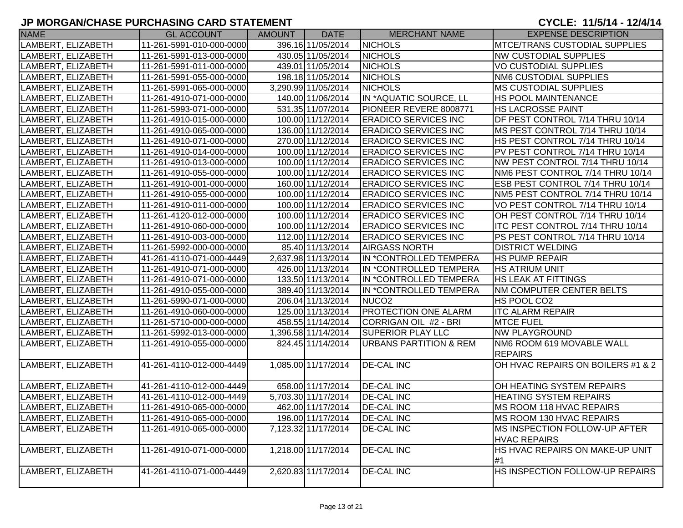| <b>NAME</b>        | <b>GL ACCOUNT</b>        | <b>AMOUNT</b> | <b>DATE</b>                              | <b>MERCHANT NAME</b>              | <b>EXPENSE DESCRIPTION</b>                                   |
|--------------------|--------------------------|---------------|------------------------------------------|-----------------------------------|--------------------------------------------------------------|
| LAMBERT, ELIZABETH | 11-261-5991-010-000-0000 |               | 396.16 11/05/2014                        | <b>NICHOLS</b>                    | <b>MTCE/TRANS CUSTODIAL SUPPLIES</b>                         |
| LAMBERT, ELIZABETH | 11-261-5991-013-000-0000 |               | 430.05 11/05/2014                        | <b>NICHOLS</b>                    | <b>NW CUSTODIAL SUPPLIES</b>                                 |
| LAMBERT, ELIZABETH | 11-261-5991-011-000-0000 |               | 439.01 11/05/2014                        | <b>NICHOLS</b>                    | <b>VO CUSTODIAL SUPPLIES</b>                                 |
| LAMBERT, ELIZABETH | 11-261-5991-055-000-0000 |               | 198.18 11/05/2014                        | <b>NICHOLS</b>                    | <b>NM6 CUSTODIAL SUPPLIES</b>                                |
| LAMBERT, ELIZABETH | 11-261-5991-065-000-0000 |               | 3,290.99 11/05/2014                      | <b>NICHOLS</b>                    | <b>MS CUSTODIAL SUPPLIES</b>                                 |
| LAMBERT, ELIZABETH | 11-261-4910-071-000-0000 |               | 140.00 11/06/2014                        | IN *AQUATIC SOURCE, LL            | <b>HS POOL MAINTENANCE</b>                                   |
| LAMBERT, ELIZABETH | 11-261-5993-071-000-0000 |               | 531.35 11/07/2014                        | PIONEER REVERE 8008771            | <b>HS LACROSSE PAINT</b>                                     |
| LAMBERT, ELIZABETH | 11-261-4910-015-000-0000 |               | 100.00 11/12/2014                        | <b>ERADICO SERVICES INC</b>       | DF PEST CONTROL 7/14 THRU 10/14                              |
| LAMBERT, ELIZABETH | 11-261-4910-065-000-0000 |               | 136.00 11/12/2014                        | <b>ERADICO SERVICES INC</b>       | MS PEST CONTROL 7/14 THRU 10/14                              |
| LAMBERT, ELIZABETH | 11-261-4910-071-000-0000 |               | 270.00 11/12/2014                        | <b>ERADICO SERVICES INC</b>       | HS PEST CONTROL 7/14 THRU 10/14                              |
| LAMBERT, ELIZABETH | 11-261-4910-014-000-0000 |               | 100.00 11/12/2014                        | <b>ERADICO SERVICES INC</b>       | PV PEST CONTROL 7/14 THRU 10/14                              |
| LAMBERT, ELIZABETH | 11-261-4910-013-000-0000 |               | 100.00 11/12/2014                        | <b>ERADICO SERVICES INC</b>       | NW PEST CONTROL 7/14 THRU 10/14                              |
| LAMBERT, ELIZABETH | 11-261-4910-055-000-0000 |               | 100.00 11/12/2014                        | <b>ERADICO SERVICES INC</b>       | NM6 PEST CONTROL 7/14 THRU 10/14                             |
| LAMBERT, ELIZABETH | 11-261-4910-001-000-0000 |               | 160.00 11/12/2014                        | <b>ERADICO SERVICES INC</b>       | ESB PEST CONTROL 7/14 THRU 10/14                             |
| LAMBERT, ELIZABETH | 11-261-4910-055-000-0000 |               | 100.00 11/12/2014                        | <b>ERADICO SERVICES INC</b>       | NM5 PEST CONTROL 7/14 THRU 10/14                             |
| LAMBERT, ELIZABETH | 11-261-4910-011-000-0000 |               | 100.00 11/12/2014                        | <b>ERADICO SERVICES INC</b>       | VO PEST CONTROL 7/14 THRU 10/14                              |
| LAMBERT, ELIZABETH | 11-261-4120-012-000-0000 |               | 100.00 11/12/2014                        | <b>ERADICO SERVICES INC</b>       | OH PEST CONTROL 7/14 THRU 10/14                              |
| LAMBERT, ELIZABETH | 11-261-4910-060-000-0000 |               | 100.00 11/12/2014                        | <b>ERADICO SERVICES INC</b>       | ITC PEST CONTROL 7/14 THRU 10/14                             |
| LAMBERT, ELIZABETH | 11-261-4910-003-000-0000 |               | 112.00 11/12/2014                        | <b>ERADICO SERVICES INC</b>       | PS PEST CONTROL 7/14 THRU 10/14                              |
| LAMBERT, ELIZABETH | 11-261-5992-000-000-0000 |               | 85.40 11/13/2014                         | <b>AIRGASS NORTH</b>              | <b>DISTRICT WELDING</b>                                      |
| LAMBERT, ELIZABETH | 41-261-4110-071-000-4449 |               | 2,637.98 11/13/2014                      | IN *CONTROLLED TEMPERA            | <b>HS PUMP REPAIR</b>                                        |
| LAMBERT, ELIZABETH | 11-261-4910-071-000-0000 |               | 426.00 11/13/2014                        | IN *CONTROLLED TEMPERA            | <b>HS ATRIUM UNIT</b>                                        |
| LAMBERT, ELIZABETH | 11-261-4910-071-000-0000 |               | 133.50 11/13/2014                        | IN *CONTROLLED TEMPERA            | <b>HS LEAK AT FITTINGS</b>                                   |
| LAMBERT, ELIZABETH | 11-261-4910-055-000-0000 |               | 389.40 11/13/2014                        | IN *CONTROLLED TEMPERA            | NM COMPUTER CENTER BELTS                                     |
| LAMBERT, ELIZABETH | 11-261-5990-071-000-0000 |               | 206.04 11/13/2014                        | NUCO <sub>2</sub>                 | HS POOL CO2                                                  |
| LAMBERT, ELIZABETH | 11-261-4910-060-000-0000 |               | 125.00 11/13/2014                        | <b>PROTECTION ONE ALARM</b>       | <b>ITC ALARM REPAIR</b>                                      |
| LAMBERT, ELIZABETH | 11-261-5710-000-000-0000 |               | 458.55 11/14/2014                        | CORRIGAN OIL #2 - BRI             | <b>MTCE FUEL</b>                                             |
| LAMBERT, ELIZABETH | 11-261-5992-013-000-0000 |               | 1,396.58 11/14/2014                      | <b>SUPERIOR PLAY LLC</b>          | <b>NW PLAYGROUND</b>                                         |
| LAMBERT, ELIZABETH | 11-261-4910-055-000-0000 |               | 824.45 11/14/2014                        | <b>URBANS PARTITION &amp; REM</b> | NM6 ROOM 619 MOVABLE WALL                                    |
|                    |                          |               |                                          |                                   | <b>REPAIRS</b>                                               |
| LAMBERT, ELIZABETH | 41-261-4110-012-000-4449 |               | 1,085.00 11/17/2014                      | <b>DE-CAL INC</b>                 | OH HVAC REPAIRS ON BOILERS #1 & 2                            |
|                    |                          |               |                                          |                                   |                                                              |
| LAMBERT, ELIZABETH | 41-261-4110-012-000-4449 |               | 658.00 11/17/2014<br>5,703.30 11/17/2014 | <b>DE-CAL INC</b>                 | OH HEATING SYSTEM REPAIRS<br><b>HEATING SYSTEM REPAIRS</b>   |
| LAMBERT, ELIZABETH | 41-261-4110-012-000-4449 |               | 462.00 11/17/2014                        | <b>DE-CAL INC</b>                 |                                                              |
| LAMBERT, ELIZABETH | 11-261-4910-065-000-0000 |               |                                          | <b>DE-CAL INC</b>                 | MS ROOM 118 HVAC REPAIRS                                     |
| LAMBERT, ELIZABETH | 11-261-4910-065-000-0000 |               | 196.00 11/17/2014                        | <b>DE-CAL INC</b>                 | <b>IMS ROOM 130 HVAC REPAIRS</b>                             |
| LAMBERT, ELIZABETH | 11-261-4910-065-000-0000 |               | 7,123.32 11/17/2014                      | <b>DE-CAL INC</b>                 | <b>IMS INSPECTION FOLLOW-UP AFTER</b><br><b>HVAC REPAIRS</b> |
| LAMBERT, ELIZABETH | 11-261-4910-071-000-0000 |               | 1,218.00 11/17/2014                      | <b>DE-CAL INC</b>                 | HS HVAC REPAIRS ON MAKE-UP UNIT                              |
|                    |                          |               |                                          |                                   | #1                                                           |
| LAMBERT, ELIZABETH | 41-261-4110-071-000-4449 |               | 2,620.83 11/17/2014                      | <b>DE-CAL INC</b>                 | HS INSPECTION FOLLOW-UP REPAIRS                              |
|                    |                          |               |                                          |                                   |                                                              |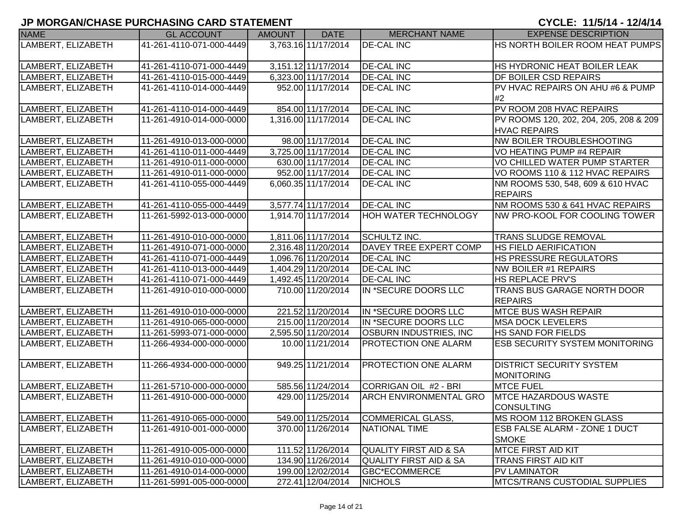| <b>NAME</b>        | <b>GL ACCOUNT</b>        | <b>AMOUNT</b> | <b>DATE</b>         | <b>MERCHANT NAME</b>              | <b>EXPENSE DESCRIPTION</b>                  |
|--------------------|--------------------------|---------------|---------------------|-----------------------------------|---------------------------------------------|
| LAMBERT, ELIZABETH | 41-261-4110-071-000-4449 |               | 3,763.16 11/17/2014 | <b>DE-CAL INC</b>                 | HS NORTH BOILER ROOM HEAT PUMPS             |
|                    |                          |               |                     |                                   |                                             |
| LAMBERT, ELIZABETH | 41-261-4110-071-000-4449 |               | 3,151.12 11/17/2014 | <b>DE-CAL INC</b>                 | HS HYDRONIC HEAT BOILER LEAK                |
| LAMBERT, ELIZABETH | 41-261-4110-015-000-4449 |               | 6,323.00 11/17/2014 | <b>DE-CAL INC</b>                 | <b>DF BOILER CSD REPAIRS</b>                |
| LAMBERT, ELIZABETH | 41-261-4110-014-000-4449 |               | 952.00 11/17/2014   | <b>DE-CAL INC</b>                 | <b>PV HVAC REPAIRS ON AHU #6 &amp; PUMP</b> |
|                    |                          |               |                     |                                   | #2                                          |
| LAMBERT, ELIZABETH | 41-261-4110-014-000-4449 |               | 854.00 11/17/2014   | <b>DE-CAL INC</b>                 | PV ROOM 208 HVAC REPAIRS                    |
| LAMBERT, ELIZABETH | 11-261-4910-014-000-0000 |               | 1,316.00 11/17/2014 | <b>DE-CAL INC</b>                 | PV ROOMS 120, 202, 204, 205, 208 & 209      |
|                    |                          |               |                     |                                   | <b>HVAC REPAIRS</b>                         |
| LAMBERT, ELIZABETH | 11-261-4910-013-000-0000 |               | 98.00 11/17/2014    | <b>DE-CAL INC</b>                 | <b>NW BOILER TROUBLESHOOTING</b>            |
| LAMBERT, ELIZABETH | 41-261-4110-011-000-4449 |               | 3,725.00 11/17/2014 | <b>DE-CAL INC</b>                 | VO HEATING PUMP #4 REPAIR                   |
| LAMBERT, ELIZABETH | 11-261-4910-011-000-0000 |               | 630.00 11/17/2014   | <b>DE-CAL INC</b>                 | VO CHILLED WATER PUMP STARTER               |
| LAMBERT, ELIZABETH | 11-261-4910-011-000-0000 |               | 952.00 11/17/2014   | <b>DE-CAL INC</b>                 | VO ROOMS 110 & 112 HVAC REPAIRS             |
| LAMBERT, ELIZABETH | 41-261-4110-055-000-4449 |               | 6,060.35 11/17/2014 | <b>DE-CAL INC</b>                 | NM ROOMS 530, 548, 609 & 610 HVAC           |
|                    |                          |               |                     |                                   | <b>REPAIRS</b>                              |
| LAMBERT, ELIZABETH | 41-261-4110-055-000-4449 |               | 3,577.74 11/17/2014 | <b>DE-CAL INC</b>                 | NM ROOMS 530 & 641 HVAC REPAIRS             |
| LAMBERT, ELIZABETH | 11-261-5992-013-000-0000 |               | 1,914.70 11/17/2014 | HOH WATER TECHNOLOGY              | NW PRO-KOOL FOR COOLING TOWER               |
|                    |                          |               |                     |                                   |                                             |
| LAMBERT, ELIZABETH | 11-261-4910-010-000-0000 |               | 1,811.06 11/17/2014 | <b>SCHULTZ INC.</b>               | <b>TRANS SLUDGE REMOVAL</b>                 |
| LAMBERT, ELIZABETH | 11-261-4910-071-000-0000 |               | 2,316.48 11/20/2014 | DAVEY TREE EXPERT COMP            | <b>HS FIELD AERIFICATION</b>                |
| LAMBERT, ELIZABETH | 41-261-4110-071-000-4449 |               | 1,096.76 11/20/2014 | <b>DE-CAL INC</b>                 | <b>HS PRESSURE REGULATORS</b>               |
| LAMBERT, ELIZABETH | 41-261-4110-013-000-4449 |               | 1,404.29 11/20/2014 | <b>DE-CAL INC</b>                 | NW BOILER #1 REPAIRS                        |
| LAMBERT, ELIZABETH | 41-261-4110-071-000-4449 |               | 1,492.45 11/20/2014 | <b>DE-CAL INC</b>                 | <b>HS REPLACE PRV'S</b>                     |
| LAMBERT, ELIZABETH | 11-261-4910-010-000-0000 |               | 710.00 11/20/2014   | IN *SECURE DOORS LLC              | <b>TRANS BUS GARAGE NORTH DOOR</b>          |
|                    |                          |               |                     |                                   | <b>REPAIRS</b>                              |
| LAMBERT, ELIZABETH | 11-261-4910-010-000-0000 |               | 221.52 11/20/2014   | IN *SECURE DOORS LLC              | <b>MTCE BUS WASH REPAIR</b>                 |
| LAMBERT, ELIZABETH | 11-261-4910-065-000-0000 |               | 215.00 11/20/2014   | IN *SECURE DOORS LLC              | <b>MSA DOCK LEVELERS</b>                    |
| LAMBERT, ELIZABETH | 11-261-5993-071-000-0000 |               | 2,595.50 11/20/2014 | <b>OSBURN INDUSTRIES, INC</b>     | <b>HS SAND FOR FIELDS</b>                   |
| LAMBERT, ELIZABETH | 11-266-4934-000-000-0000 |               | 10.00 11/21/2014    | PROTECTION ONE ALARM              | <b>ESB SECURITY SYSTEM MONITORING</b>       |
| LAMBERT, ELIZABETH | 11-266-4934-000-000-0000 |               | 949.25 11/21/2014   | PROTECTION ONE ALARM              | <b>DISTRICT SECURITY SYSTEM</b>             |
|                    |                          |               |                     |                                   | MONITORING                                  |
| LAMBERT, ELIZABETH | 11-261-5710-000-000-0000 |               | 585.56 11/24/2014   | CORRIGAN OIL #2 - BRI             | <b>MTCE FUEL</b>                            |
| LAMBERT, ELIZABETH | 11-261-4910-000-000-0000 |               | 429.00 11/25/2014   | <b>ARCH ENVIRONMENTAL GRO</b>     | <b>IMTCE HAZARDOUS WASTE</b>                |
|                    |                          |               |                     |                                   | CONSULTING                                  |
| LAMBERT, ELIZABETH | 11-261-4910-065-000-0000 |               | 549.00 11/25/2014   | COMMERICAL GLASS,                 | <b>IMS ROOM 112 BROKEN GLASS</b>            |
| LAMBERT, ELIZABETH | 11-261-4910-001-000-0000 |               | 370.00 11/26/2014   | <b>NATIONAL TIME</b>              | ESB FALSE ALARM - ZONE 1 DUCT               |
|                    |                          |               |                     |                                   | <b>SMOKE</b>                                |
| LAMBERT, ELIZABETH | 11-261-4910-005-000-0000 |               | 111.52 11/26/2014   | <b>QUALITY FIRST AID &amp; SA</b> | <b>MTCE FIRST AID KIT</b>                   |
| LAMBERT, ELIZABETH | 11-261-4910-010-000-0000 |               | 134.90 11/26/2014   | <b>QUALITY FIRST AID &amp; SA</b> | TRANS FIRST AID KIT                         |
| LAMBERT, ELIZABETH | 11-261-4910-014-000-0000 |               | 199.00 12/02/2014   | <b>GBC*ECOMMERCE</b>              | <b>PV LAMINATOR</b>                         |
| LAMBERT, ELIZABETH | 11-261-5991-005-000-0000 |               | 272.41 12/04/2014   | <b>NICHOLS</b>                    | <b>MTCS/TRANS CUSTODIAL SUPPLIES</b>        |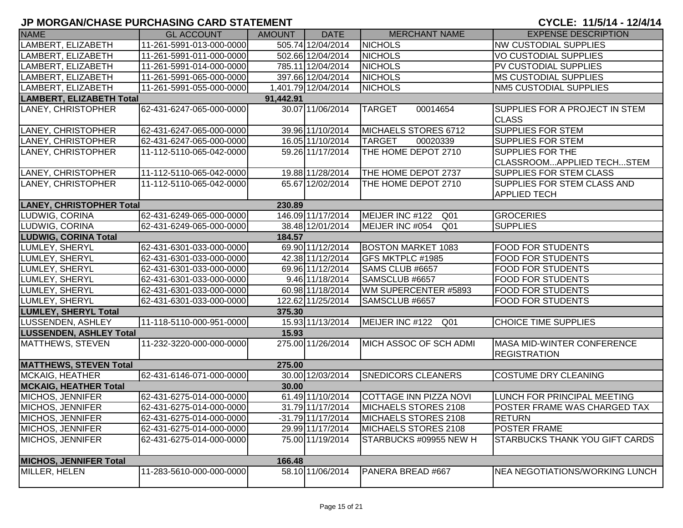| <b>NAME</b>                               | <b>GL ACCOUNT</b>        | <b>AMOUNT</b> | <b>DATE</b>         | <b>MERCHANT NAME</b>               | <b>EXPENSE DESCRIPTION</b>                                |  |  |
|-------------------------------------------|--------------------------|---------------|---------------------|------------------------------------|-----------------------------------------------------------|--|--|
| LAMBERT, ELIZABETH                        | 11-261-5991-013-000-0000 |               | 505.74 12/04/2014   | <b>NICHOLS</b>                     | <b>NW CUSTODIAL SUPPLIES</b>                              |  |  |
| LAMBERT, ELIZABETH                        | 11-261-5991-011-000-0000 |               | 502.66 12/04/2014   | <b>NICHOLS</b>                     | <b>VO CUSTODIAL SUPPLIES</b>                              |  |  |
| LAMBERT, ELIZABETH                        | 11-261-5991-014-000-0000 |               | 785.11 12/04/2014   | <b>NICHOLS</b>                     | <b>PV CUSTODIAL SUPPLIES</b>                              |  |  |
| LAMBERT, ELIZABETH                        | 11-261-5991-065-000-0000 |               | 397.66 12/04/2014   | <b>NICHOLS</b>                     | <b>IMS CUSTODIAL SUPPLIES</b>                             |  |  |
| LAMBERT, ELIZABETH                        | 11-261-5991-055-000-0000 |               | 1,401.79 12/04/2014 | <b>NICHOLS</b>                     | NM5 CUSTODIAL SUPPLIES                                    |  |  |
| <b>LAMBERT, ELIZABETH Total</b>           |                          | 91,442.91     |                     |                                    |                                                           |  |  |
| LANEY, CHRISTOPHER                        | 62-431-6247-065-000-0000 |               | 30.07 11/06/2014    | <b>TARGET</b><br>00014654          | <b>SUPPLIES FOR A PROJECT IN STEM</b><br><b>CLASS</b>     |  |  |
| LANEY, CHRISTOPHER                        | 62-431-6247-065-000-0000 |               | 39.96 11/10/2014    | MICHAELS STORES 6712               | <b>SUPPLIES FOR STEM</b>                                  |  |  |
| LANEY, CHRISTOPHER                        | 62-431-6247-065-000-0000 |               | 16.05 11/10/2014    | <b>TARGET</b><br>00020339          | <b>SUPPLIES FOR STEM</b>                                  |  |  |
| LANEY, CHRISTOPHER                        | 11-112-5110-065-042-0000 |               | 59.26 11/17/2014    | THE HOME DEPOT 2710                | <b>SUPPLIES FOR THE</b><br>CLASSROOMAPPLIED TECHSTEM      |  |  |
| LANEY, CHRISTOPHER                        | 11-112-5110-065-042-0000 |               | 19.88 11/28/2014    | THE HOME DEPOT 2737                | <b>SUPPLIES FOR STEM CLASS</b>                            |  |  |
| LANEY, CHRISTOPHER                        | 11-112-5110-065-042-0000 |               | 65.67 12/02/2014    | THE HOME DEPOT 2710                | <b>SUPPLIES FOR STEM CLASS AND</b><br><b>APPLIED TECH</b> |  |  |
| <b>LANEY, CHRISTOPHER Total</b><br>230.89 |                          |               |                     |                                    |                                                           |  |  |
| LUDWIG, CORINA                            | 62-431-6249-065-000-0000 |               | 146.09 11/17/2014   | MEIJER INC #122<br>Q <sub>01</sub> | <b>GROCERIES</b>                                          |  |  |
| LUDWIG, CORINA                            | 62-431-6249-065-000-0000 |               | 38.48 12/01/2014    | MEIJER INC #054<br>Q01             | <b>SUPPLIES</b>                                           |  |  |
| <b>LUDWIG, CORINA Total</b><br>184.57     |                          |               |                     |                                    |                                                           |  |  |
| LUMLEY, SHERYL                            | 62-431-6301-033-000-0000 |               | 69.90 11/12/2014    | <b>BOSTON MARKET 1083</b>          | <b>FOOD FOR STUDENTS</b>                                  |  |  |
| LUMLEY, SHERYL                            | 62-431-6301-033-000-0000 |               | 42.38 11/12/2014    | GFS MKTPLC #1985                   | <b>FOOD FOR STUDENTS</b>                                  |  |  |
| LUMLEY, SHERYL                            | 62-431-6301-033-000-0000 |               | 69.96 11/12/2014    | SAMS CLUB #6657                    | <b>FOOD FOR STUDENTS</b>                                  |  |  |
| LUMLEY, SHERYL                            | 62-431-6301-033-000-0000 |               | 9.46 11/18/2014     | SAMSCLUB #6657                     | <b>FOOD FOR STUDENTS</b>                                  |  |  |
| LUMLEY, SHERYL                            | 62-431-6301-033-000-0000 |               | 60.98 11/18/2014    | WM SUPERCENTER #5893               | <b>FOOD FOR STUDENTS</b>                                  |  |  |
| LUMLEY, SHERYL                            | 62-431-6301-033-000-0000 |               | 122.62 11/25/2014   | SAMSCLUB #6657                     | <b>FOOD FOR STUDENTS</b>                                  |  |  |
| <b>LUMLEY, SHERYL Total</b>               |                          | 375.30        |                     |                                    |                                                           |  |  |
| LUSSENDEN, ASHLEY                         | 11-118-5110-000-951-0000 |               | 15.93 11/13/2014    | MEIJER INC #122<br>Q01             | <b>CHOICE TIME SUPPLIES</b>                               |  |  |
| <b>LUSSENDEN, ASHLEY Total</b>            |                          | 15.93         |                     |                                    |                                                           |  |  |
| <b>MATTHEWS, STEVEN</b>                   | 11-232-3220-000-000-0000 |               | 275.00 11/26/2014   | MICH ASSOC OF SCH ADMI             | <b>MASA MID-WINTER CONFERENCE</b><br><b>REGISTRATION</b>  |  |  |
| <b>MATTHEWS, STEVEN Total</b>             |                          | 275.00        |                     |                                    |                                                           |  |  |
| MCKAIG, HEATHER                           | 62-431-6146-071-000-0000 |               | 30.00 12/03/2014    | <b>SNEDICORS CLEANERS</b>          | COSTUME DRY CLEANING                                      |  |  |
| <b>MCKAIG, HEATHER Total</b>              |                          | 30.00         |                     |                                    |                                                           |  |  |
| MICHOS, JENNIFER                          | 62-431-6275-014-000-0000 |               | 61.49 11/10/2014    | COTTAGE INN PIZZA NOVI             | LUNCH FOR PRINCIPAL MEETING                               |  |  |
| MICHOS, JENNIFER                          | 62-431-6275-014-000-0000 |               | 31.79 11/17/2014    | MICHAELS STORES 2108               | <b>POSTER FRAME WAS CHARGED TAX</b>                       |  |  |
| MICHOS, JENNIFER                          | 62-431-6275-014-000-0000 |               | $-31.79$ 11/17/2014 | MICHAELS STORES 2108               | <b>RETURN</b>                                             |  |  |
| MICHOS, JENNIFER                          | 62-431-6275-014-000-0000 |               | 29.99 11/17/2014    | MICHAELS STORES 2108               | <b>POSTER FRAME</b>                                       |  |  |
| MICHOS, JENNIFER                          | 62-431-6275-014-000-0000 |               | 75.00 11/19/2014    | STARBUCKS #09955 NEW H             | <b>STARBUCKS THANK YOU GIFT CARDS</b>                     |  |  |
| <b>MICHOS, JENNIFER Total</b>             |                          | 166.48        |                     |                                    |                                                           |  |  |
| MILLER, HELEN                             | 11-283-5610-000-000-0000 |               | 58.10 11/06/2014    | PANERA BREAD #667                  | NEA NEGOTIATIONS/WORKING LUNCH                            |  |  |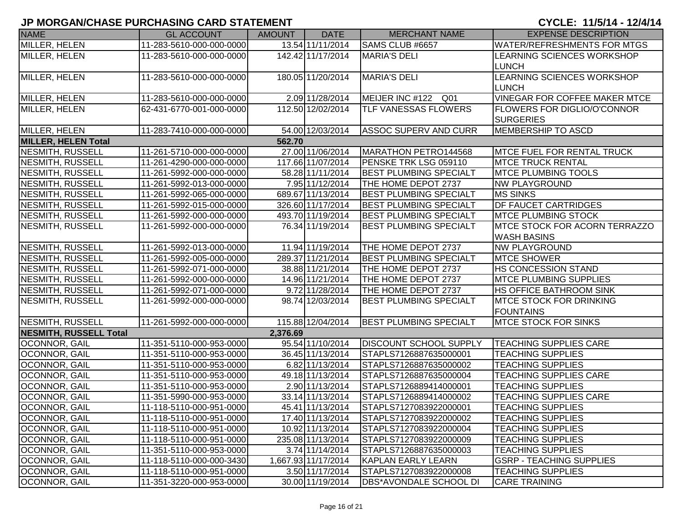| <b>NAME</b>                   | <b>GL ACCOUNT</b>        | <b>AMOUNT</b> | <b>DATE</b>         | <b>MERCHANT NAME</b>          | <b>EXPENSE DESCRIPTION</b>                             |
|-------------------------------|--------------------------|---------------|---------------------|-------------------------------|--------------------------------------------------------|
| MILLER, HELEN                 | 11-283-5610-000-000-0000 |               | 13.54 11/11/2014    | SAMS CLUB #6657               | <b>WATER/REFRESHMENTS FOR MTGS</b>                     |
| MILLER, HELEN                 | 11-283-5610-000-000-0000 |               | 142.42 11/17/2014   | <b>MARIA'S DELI</b>           | <b>LEARNING SCIENCES WORKSHOP</b><br><b>LUNCH</b>      |
| MILLER, HELEN                 | 11-283-5610-000-000-0000 |               | 180.05 11/20/2014   | <b>MARIA'S DELI</b>           | <b>LEARNING SCIENCES WORKSHOP</b>                      |
|                               |                          |               |                     |                               | <b>LUNCH</b>                                           |
| MILLER, HELEN                 | 11-283-5610-000-000-0000 |               | 2.09 11/28/2014     | MEIJER INC #122 Q01           | <b>VINEGAR FOR COFFEE MAKER MTCE</b>                   |
| MILLER, HELEN                 | 62-431-6770-001-000-0000 |               | 112.50 12/02/2014   | <b>TLF VANESSAS FLOWERS</b>   | <b>FLOWERS FOR DIGLIO/O'CONNOR</b><br><b>SURGERIES</b> |
| MILLER, HELEN                 | 11-283-7410-000-000-0000 |               | 54.00 12/03/2014    | <b>ASSOC SUPERV AND CURR</b>  | <b>MEMBERSHIP TO ASCD</b>                              |
| <b>MILLER, HELEN Total</b>    |                          | 562.70        |                     |                               |                                                        |
| <b>NESMITH, RUSSELL</b>       | 11-261-5710-000-000-0000 |               | 27.00 11/06/2014    | MARATHON PETRO144568          | <b>IMTCE FUEL FOR RENTAL TRUCK</b>                     |
| <b>NESMITH, RUSSELL</b>       | 11-261-4290-000-000-0000 |               | 117.66 11/07/2014   | PENSKE TRK LSG 059110         | <b>IMTCE TRUCK RENTAL</b>                              |
| <b>NESMITH, RUSSELL</b>       | 11-261-5992-000-000-0000 |               | 58.28 11/11/2014    | <b>BEST PLUMBING SPECIALT</b> | <b>MTCE PLUMBING TOOLS</b>                             |
| <b>NESMITH, RUSSELL</b>       | 11-261-5992-013-000-0000 |               | 7.95 11/12/2014     | THE HOME DEPOT 2737           | <b>NW PLAYGROUND</b>                                   |
| NESMITH, RUSSELL              | 11-261-5992-065-000-0000 |               | 689.67 11/13/2014   | <b>BEST PLUMBING SPECIALT</b> | <b>MS SINKS</b>                                        |
| NESMITH, RUSSELL              | 11-261-5992-015-000-0000 |               | 326.60 11/17/2014   | <b>BEST PLUMBING SPECIALT</b> | <b>DF FAUCET CARTRIDGES</b>                            |
| NESMITH, RUSSELL              | 11-261-5992-000-000-0000 |               | 493.70 11/19/2014   | <b>BEST PLUMBING SPECIALT</b> | <b>MTCE PLUMBING STOCK</b>                             |
| NESMITH, RUSSELL              | 11-261-5992-000-000-0000 |               | 76.34 11/19/2014    | <b>BEST PLUMBING SPECIALT</b> | <b>IMTCE STOCK FOR ACORN TERRAZZO</b>                  |
|                               |                          |               |                     |                               | <b>WASH BASINS</b>                                     |
| <b>NESMITH, RUSSELL</b>       | 11-261-5992-013-000-0000 |               | 11.94 11/19/2014    | THE HOME DEPOT 2737           | <b>NW PLAYGROUND</b>                                   |
| NESMITH, RUSSELL              | 11-261-5992-005-000-0000 |               | 289.37 11/21/2014   | <b>BEST PLUMBING SPECIALT</b> | <b>MTCE SHOWER</b>                                     |
| NESMITH, RUSSELL              | 11-261-5992-071-000-0000 |               | 38.88 11/21/2014    | THE HOME DEPOT 2737           | <b>HS CONCESSION STAND</b>                             |
| NESMITH, RUSSELL              | 11-261-5992-000-000-0000 |               | 14.96 11/21/2014    | THE HOME DEPOT 2737           | <b>MTCE PLUMBING SUPPLIES</b>                          |
| <b>NESMITH, RUSSELL</b>       | 11-261-5992-071-000-0000 |               | 9.72 11/28/2014     | THE HOME DEPOT 2737           | <b>HS OFFICE BATHROOM SINK</b>                         |
| <b>NESMITH, RUSSELL</b>       | 11-261-5992-000-000-0000 |               | 98.74 12/03/2014    | <b>BEST PLUMBING SPECIALT</b> | <b>IMTCE STOCK FOR DRINKING</b><br><b>FOUNTAINS</b>    |
| NESMITH, RUSSELL              | 11-261-5992-000-000-0000 |               | 115.88 12/04/2014   | <b>BEST PLUMBING SPECIALT</b> | <b>MTCE STOCK FOR SINKS</b>                            |
| <b>NESMITH, RUSSELL Total</b> |                          | 2,376.69      |                     |                               |                                                        |
| OCONNOR, GAIL                 | 11-351-5110-000-953-0000 |               | 95.54 11/10/2014    | <b>DISCOUNT SCHOOL SUPPLY</b> | <b>TEACHING SUPPLIES CARE</b>                          |
| <b>OCONNOR, GAIL</b>          | 11-351-5110-000-953-0000 |               | 36.45 11/13/2014    | STAPLS7126887635000001        | <b>TEACHING SUPPLIES</b>                               |
| OCONNOR, GAIL                 | 11-351-5110-000-953-0000 |               | 6.82 11/13/2014     | STAPLS7126887635000002        | <b>TEACHING SUPPLIES</b>                               |
| OCONNOR, GAIL                 | 11-351-5110-000-953-0000 |               | 49.18 11/13/2014    | STAPLS7126887635000004        | <b>TEACHING SUPPLIES CARE</b>                          |
| OCONNOR, GAIL                 | 11-351-5110-000-953-0000 |               | 2.90 11/13/2014     | STAPLS7126889414000001        | <b>TEACHING SUPPLIES</b>                               |
| OCONNOR, GAIL                 | 11-351-5990-000-953-0000 |               | 33.14 11/13/2014    | STAPLS7126889414000002        | <b>TEACHING SUPPLIES CARE</b>                          |
| <b>OCONNOR, GAIL</b>          | 11-118-5110-000-951-0000 |               | 45.41 11/13/2014    | STAPLS7127083922000001        | <b>TEACHING SUPPLIES</b>                               |
| <b>OCONNOR, GAIL</b>          | 11-118-5110-000-951-0000 |               | 17.40 11/13/2014    | STAPLS7127083922000002        | <b>TEACHING SUPPLIES</b>                               |
| OCONNOR, GAIL                 | 11-118-5110-000-951-0000 |               | 10.92 11/13/2014    | STAPLS7127083922000004        | <b>TEACHING SUPPLIES</b>                               |
| OCONNOR, GAIL                 | 11-118-5110-000-951-0000 |               | 235.08 11/13/2014   | STAPLS7127083922000009        | <b>TEACHING SUPPLIES</b>                               |
| <b>OCONNOR, GAIL</b>          | 11-351-5110-000-953-0000 |               | 3.74 11/14/2014     | STAPLS7126887635000003        | <b>TEACHING SUPPLIES</b>                               |
| OCONNOR, GAIL                 | 11-118-5110-000-000-3430 |               | 1,667.93 11/17/2014 | <b>KAPLAN EARLY LEARN</b>     | <b>GSRP - TEACHING SUPPLIES</b>                        |
| <b>OCONNOR, GAIL</b>          | 11-118-5110-000-951-0000 |               | 3.50 11/17/2014     | STAPLS7127083922000008        | <b>TEACHING SUPPLIES</b>                               |
| OCONNOR, GAIL                 | 11-351-3220-000-953-0000 |               | 30.00 11/19/2014    | <b>DBS*AVONDALE SCHOOL DI</b> | <b>CARE TRAINING</b>                                   |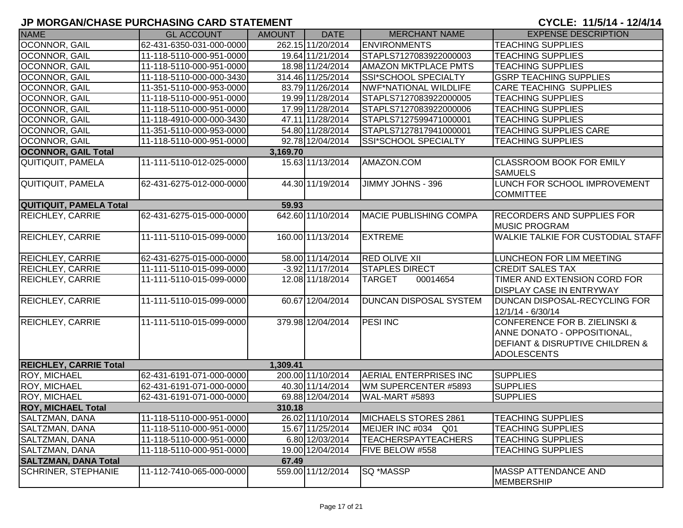| <b>NAME</b>                    | <b>GL ACCOUNT</b>        | <b>AMOUNT</b> | <b>DATE</b>        | <b>MERCHANT NAME</b>           | <b>EXPENSE DESCRIPTION</b>                                                                                                                      |
|--------------------------------|--------------------------|---------------|--------------------|--------------------------------|-------------------------------------------------------------------------------------------------------------------------------------------------|
| OCONNOR, GAIL                  | 62-431-6350-031-000-0000 |               | 262.15 11/20/2014  | <b>ENVIRONMENTS</b>            | <b>TEACHING SUPPLIES</b>                                                                                                                        |
| <b>OCONNOR, GAIL</b>           | 11-118-5110-000-951-0000 |               | 19.64 11/21/2014   | STAPLS7127083922000003         | <b>TEACHING SUPPLIES</b>                                                                                                                        |
| <b>OCONNOR, GAIL</b>           | 11-118-5110-000-951-0000 |               | 18.98 11/24/2014   | <b>AMAZON MKTPLACE PMTS</b>    | <b>TEACHING SUPPLIES</b>                                                                                                                        |
| <b>OCONNOR, GAIL</b>           | 11-118-5110-000-000-3430 |               | 314.46 11/25/2014  | SSI*SCHOOL SPECIALTY           | <b>GSRP TEACHING SUPPLIES</b>                                                                                                                   |
| OCONNOR, GAIL                  | 11-351-5110-000-953-0000 |               | 83.79 11/26/2014   | NWF*NATIONAL WILDLIFE          | <b>CARE TEACHING SUPPLIES</b>                                                                                                                   |
| <b>OCONNOR, GAIL</b>           | 11-118-5110-000-951-0000 |               | 19.99 11/28/2014   | STAPLS7127083922000005         | <b>TEACHING SUPPLIES</b>                                                                                                                        |
| <b>OCONNOR, GAIL</b>           | 11-118-5110-000-951-0000 |               | 17.99 11/28/2014   | STAPLS7127083922000006         | <b>TEACHING SUPPLIES</b>                                                                                                                        |
| <b>OCONNOR, GAIL</b>           | 11-118-4910-000-000-3430 |               | 47.11 11/28/2014   | STAPLS7127599471000001         | <b>TEACHING SUPPLIES</b>                                                                                                                        |
| OCONNOR, GAIL                  | 11-351-5110-000-953-0000 |               | 54.80 11/28/2014   | STAPLS7127817941000001         | <b>TEACHING SUPPLIES CARE</b>                                                                                                                   |
| OCONNOR, GAIL                  | 11-118-5110-000-951-0000 |               | 92.78 12/04/2014   | SSI*SCHOOL SPECIALTY           | <b>TEACHING SUPPLIES</b>                                                                                                                        |
| <b>OCONNOR, GAIL Total</b>     |                          | 3,169.70      |                    |                                |                                                                                                                                                 |
| QUITIQUIT, PAMELA              | 11-111-5110-012-025-0000 |               | 15.63 11/13/2014   | AMAZON.COM                     | <b>CLASSROOM BOOK FOR EMILY</b><br><b>SAMUELS</b>                                                                                               |
| QUITIQUIT, PAMELA              | 62-431-6275-012-000-0000 |               | 44.30 11/19/2014   | JIMMY JOHNS - 396              | LUNCH FOR SCHOOL IMPROVEMENT<br><b>COMMITTEE</b>                                                                                                |
| <b>QUITIQUIT, PAMELA Total</b> |                          | 59.93         |                    |                                |                                                                                                                                                 |
| <b>REICHLEY, CARRIE</b>        | 62-431-6275-015-000-0000 |               | 642.60 11/10/2014  | <b>IMACIE PUBLISHING COMPA</b> | <b>RECORDERS AND SUPPLIES FOR</b><br><b>MUSIC PROGRAM</b>                                                                                       |
| <b>REICHLEY, CARRIE</b>        | 11-111-5110-015-099-0000 |               | 160.00 11/13/2014  | <b>EXTREME</b>                 | <b>WALKIE TALKIE FOR CUSTODIAL STAFF</b>                                                                                                        |
| <b>REICHLEY, CARRIE</b>        | 62-431-6275-015-000-0000 |               | 58.00 11/14/2014   | <b>RED OLIVE XII</b>           | LUNCHEON FOR LIM MEETING                                                                                                                        |
| <b>REICHLEY, CARRIE</b>        | 11-111-5110-015-099-0000 |               | $-3.92$ 11/17/2014 | <b>STAPLES DIRECT</b>          | <b>CREDIT SALES TAX</b>                                                                                                                         |
| <b>REICHLEY, CARRIE</b>        | 11-111-5110-015-099-0000 |               | 12.08 11/18/2014   | <b>TARGET</b><br>00014654      | TIMER AND EXTENSION CORD FOR<br><b>DISPLAY CASE IN ENTRYWAY</b>                                                                                 |
| <b>REICHLEY, CARRIE</b>        | 11-111-5110-015-099-0000 |               | 60.67 12/04/2014   | DUNCAN DISPOSAL SYSTEM         | <b>DUNCAN DISPOSAL-RECYCLING FOR</b><br>12/1/14 - 6/30/14                                                                                       |
| <b>REICHLEY, CARRIE</b>        | 11-111-5110-015-099-0000 |               | 379.98 12/04/2014  | <b>PESI INC</b>                | <b>CONFERENCE FOR B. ZIELINSKI &amp;</b><br>ANNE DONATO - OPPOSITIONAL,<br><b>DEFIANT &amp; DISRUPTIVE CHILDREN &amp;</b><br><b>ADOLESCENTS</b> |
| <b>REICHLEY, CARRIE Total</b>  |                          | 1,309.41      |                    |                                |                                                                                                                                                 |
| <b>ROY, MICHAEL</b>            | 62-431-6191-071-000-0000 |               | 200.00 11/10/2014  | AERIAL ENTERPRISES INC         | <b>SUPPLIES</b>                                                                                                                                 |
| <b>ROY, MICHAEL</b>            | 62-431-6191-071-000-0000 |               | 40.30 11/14/2014   | WM SUPERCENTER #5893           | <b>SUPPLIES</b>                                                                                                                                 |
| <b>ROY, MICHAEL</b>            | 62-431-6191-071-000-0000 |               | 69.88 12/04/2014   | WAL-MART #5893                 | <b>SUPPLIES</b>                                                                                                                                 |
| <b>ROY, MICHAEL Total</b>      |                          | 310.18        |                    |                                |                                                                                                                                                 |
| SALTZMAN, DANA                 | 11-118-5110-000-951-0000 |               | 26.02 11/10/2014   | MICHAELS STORES 2861           | <b>TEACHING SUPPLIES</b>                                                                                                                        |
| SALTZMAN, DANA                 | 11-118-5110-000-951-0000 |               | 15.67 11/25/2014   | MEIJER INC #034 Q01            | <b>TEACHING SUPPLIES</b>                                                                                                                        |
| SALTZMAN, DANA                 | 11-118-5110-000-951-0000 |               | 6.80 12/03/2014    | <b>TEACHERSPAYTEACHERS</b>     | <b>TEACHING SUPPLIES</b>                                                                                                                        |
| SALTZMAN, DANA                 | 11-118-5110-000-951-0000 |               | 19.00 12/04/2014   | FIVE BELOW #558                | <b>TEACHING SUPPLIES</b>                                                                                                                        |
| <b>SALTZMAN, DANA Total</b>    |                          | 67.49         |                    |                                |                                                                                                                                                 |
| <b>SCHRINER, STEPHANIE</b>     | 11-112-7410-065-000-0000 |               | 559.00 11/12/2014  | SQ *MASSP                      | MASSP ATTENDANCE AND<br><b>MEMBERSHIP</b>                                                                                                       |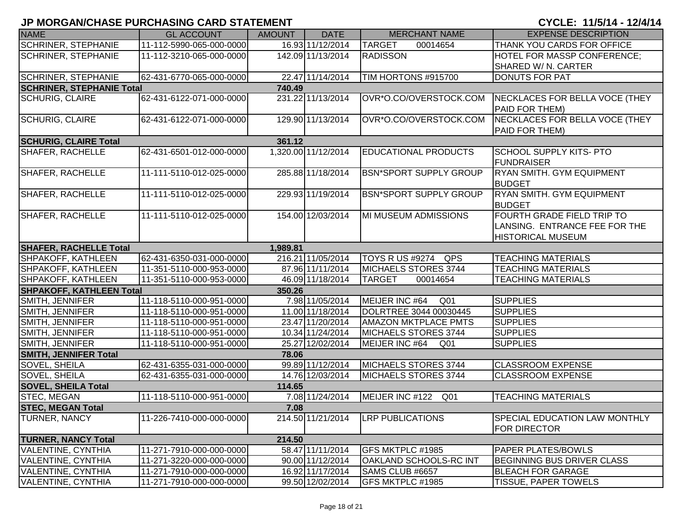| <b>NAME</b>                                | <b>GL ACCOUNT</b>        | <b>AMOUNT</b> | <b>DATE</b>         | <b>MERCHANT NAME</b>              | <b>EXPENSE DESCRIPTION</b>           |  |  |
|--------------------------------------------|--------------------------|---------------|---------------------|-----------------------------------|--------------------------------------|--|--|
| <b>SCHRINER, STEPHANIE</b>                 | 11-112-5990-065-000-0000 |               | 16.93 11/12/2014    | <b>TARGET</b><br>00014654         | THANK YOU CARDS FOR OFFICE           |  |  |
| <b>SCHRINER, STEPHANIE</b>                 | 11-112-3210-065-000-0000 |               | 142.09 11/13/2014   | <b>RADISSON</b>                   | HOTEL FOR MASSP CONFERENCE;          |  |  |
|                                            |                          |               |                     |                                   | SHARED W/ N. CARTER                  |  |  |
| <b>SCHRINER, STEPHANIE</b>                 | 62-431-6770-065-000-0000 |               | 22.47 11/14/2014    | TIM HORTONS #915700               | <b>DONUTS FOR PAT</b>                |  |  |
| <b>SCHRINER, STEPHANIE Total</b><br>740.49 |                          |               |                     |                                   |                                      |  |  |
| <b>SCHURIG, CLAIRE</b>                     | 62-431-6122-071-000-0000 |               | 231.22 11/13/2014   | OVR*O.CO/OVERSTOCK.COM            | NECKLACES FOR BELLA VOCE (THEY       |  |  |
|                                            |                          |               |                     |                                   | PAID FOR THEM)                       |  |  |
| <b>SCHURIG, CLAIRE</b>                     | 62-431-6122-071-000-0000 |               | 129.90 11/13/2014   | OVR*O.CO/OVERSTOCK.COM            | NECKLACES FOR BELLA VOCE (THEY       |  |  |
|                                            |                          |               |                     |                                   | PAID FOR THEM)                       |  |  |
| <b>SCHURIG, CLAIRE Total</b>               |                          | 361.12        |                     |                                   |                                      |  |  |
| <b>SHAFER, RACHELLE</b>                    | 62-431-6501-012-000-0000 |               | 1,320.00 11/12/2014 | <b>EDUCATIONAL PRODUCTS</b>       | <b>SCHOOL SUPPLY KITS- PTO</b>       |  |  |
|                                            |                          |               |                     |                                   | <b>FUNDRAISER</b>                    |  |  |
| <b>SHAFER, RACHELLE</b>                    | 11-111-5110-012-025-0000 |               | 285.88 11/18/2014   | <b>BSN*SPORT SUPPLY GROUP</b>     | <b>RYAN SMITH. GYM EQUIPMENT</b>     |  |  |
|                                            |                          |               |                     |                                   | <b>BUDGET</b>                        |  |  |
| <b>SHAFER, RACHELLE</b>                    | 11-111-5110-012-025-0000 |               | 229.93 11/19/2014   | <b>BSN*SPORT SUPPLY GROUP</b>     | <b>RYAN SMITH. GYM EQUIPMENT</b>     |  |  |
|                                            |                          |               |                     |                                   | <b>BUDGET</b>                        |  |  |
| SHAFER, RACHELLE                           | 11-111-5110-012-025-0000 |               | 154.00 12/03/2014   | MI MUSEUM ADMISSIONS              | <b>FOURTH GRADE FIELD TRIP TO</b>    |  |  |
|                                            |                          |               |                     |                                   | LANSING. ENTRANCE FEE FOR THE        |  |  |
|                                            |                          |               |                     |                                   | <b>HISTORICAL MUSEUM</b>             |  |  |
| <b>SHAFER, RACHELLE Total</b>              |                          | 1,989.81      |                     |                                   |                                      |  |  |
| SHPAKOFF, KATHLEEN                         | 62-431-6350-031-000-0000 |               | 216.21 11/05/2014   | TOYS R US #9274 QPS               | <b>TEACHING MATERIALS</b>            |  |  |
| SHPAKOFF, KATHLEEN                         | 11-351-5110-000-953-0000 |               | 87.96 11/11/2014    | <b>MICHAELS STORES 3744</b>       | <b>TEACHING MATERIALS</b>            |  |  |
| SHPAKOFF, KATHLEEN                         | 11-351-5110-000-953-0000 |               | 46.09 11/18/2014    | <b>TARGET</b><br>00014654         | <b>TEACHING MATERIALS</b>            |  |  |
| <b>SHPAKOFF, KATHLEEN Total</b>            |                          | 350.26        |                     |                                   |                                      |  |  |
| SMITH, JENNIFER                            | 11-118-5110-000-951-0000 |               | 7.98 11/05/2014     | MEIJER INC #64<br>Q <sub>01</sub> | <b>SUPPLIES</b>                      |  |  |
| SMITH, JENNIFER                            | 11-118-5110-000-951-0000 |               | 11.00 11/18/2014    | DOLRTREE 3044 00030445            | <b>SUPPLIES</b>                      |  |  |
| SMITH, JENNIFER                            | 11-118-5110-000-951-0000 |               | 23.47 11/20/2014    | <b>AMAZON MKTPLACE PMTS</b>       | <b>SUPPLIES</b>                      |  |  |
| SMITH, JENNIFER                            | 11-118-5110-000-951-0000 |               | 10.34 11/24/2014    | MICHAELS STORES 3744              | <b>SUPPLIES</b>                      |  |  |
| SMITH, JENNIFER                            | 11-118-5110-000-951-0000 |               | 25.27 12/02/2014    | MEIJER INC #64<br>Q01             | <b>SUPPLIES</b>                      |  |  |
| <b>SMITH, JENNIFER Total</b>               |                          | 78.06         |                     |                                   |                                      |  |  |
| SOVEL, SHEILA                              | 62-431-6355-031-000-0000 |               | 99.89 11/12/2014    | MICHAELS STORES 3744              | <b>CLASSROOM EXPENSE</b>             |  |  |
| SOVEL, SHEILA                              | 62-431-6355-031-000-0000 |               | 14.76 12/03/2014    | MICHAELS STORES 3744              | <b>CLASSROOM EXPENSE</b>             |  |  |
| <b>SOVEL, SHEILA Total</b>                 |                          | 114.65        |                     |                                   |                                      |  |  |
| STEC, MEGAN                                | 11-118-5110-000-951-0000 |               | 7.08 11/24/2014     | MEIJER INC #122 Q01               | <b>TEACHING MATERIALS</b>            |  |  |
| <b>STEC, MEGAN Total</b>                   |                          | 7.08          |                     |                                   |                                      |  |  |
| <b>TURNER, NANCY</b>                       | 11-226-7410-000-000-0000 |               | 214.50 11/21/2014   | <b>LRP PUBLICATIONS</b>           | <b>SPECIAL EDUCATION LAW MONTHLY</b> |  |  |
|                                            |                          |               |                     |                                   | <b>FOR DIRECTOR</b>                  |  |  |
| <b>TURNER, NANCY Total</b>                 |                          | 214.50        |                     |                                   |                                      |  |  |
| <b>VALENTINE, CYNTHIA</b>                  | 11-271-7910-000-000-0000 |               | 58.47 11/11/2014    | GFS MKTPLC #1985                  | <b>PAPER PLATES/BOWLS</b>            |  |  |
| <b>VALENTINE, CYNTHIA</b>                  | 11-271-3220-000-000-0000 |               | 90.00 11/12/2014    | OAKLAND SCHOOLS-RC INT            | BEGINNING BUS DRIVER CLASS           |  |  |
| <b>VALENTINE, CYNTHIA</b>                  | 11-271-7910-000-000-0000 |               | 16.92 11/17/2014    | SAMS CLUB #6657                   | <b>BLEACH FOR GARAGE</b>             |  |  |
| <b>VALENTINE, CYNTHIA</b>                  | 11-271-7910-000-000-0000 |               | 99.50 12/02/2014    | GFS MKTPLC #1985                  | <b>TISSUE, PAPER TOWELS</b>          |  |  |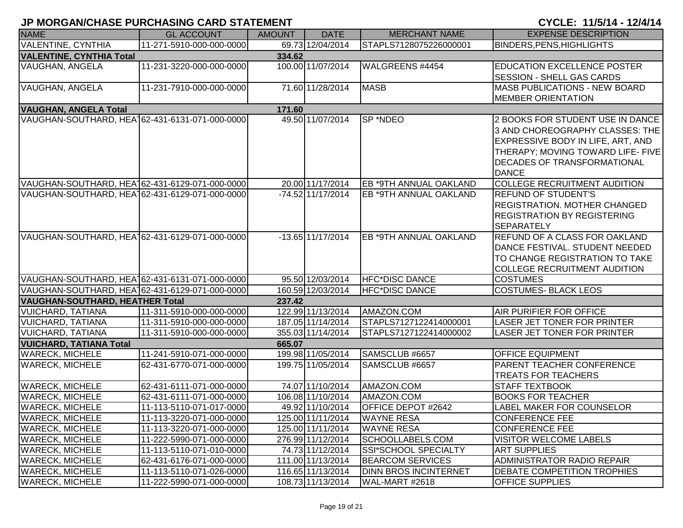| <b>NAME</b>                                                        | <b>GL ACCOUNT</b>        | <b>AMOUNT</b> | <b>DATE</b>         | <b>MERCHANT NAME</b>          | <b>EXPENSE DESCRIPTION</b>                             |  |  |
|--------------------------------------------------------------------|--------------------------|---------------|---------------------|-------------------------------|--------------------------------------------------------|--|--|
| <b>VALENTINE, CYNTHIA</b>                                          | 11-271-5910-000-000-0000 |               | 69.73 12/04/2014    | STAPLS7128075226000001        | <b>BINDERS, PENS, HIGHLIGHTS</b>                       |  |  |
| <b>VALENTINE, CYNTHIA Total</b><br>334.62                          |                          |               |                     |                               |                                                        |  |  |
| <b>VAUGHAN, ANGELA</b>                                             | 11-231-3220-000-000-0000 |               | 100.00 11/07/2014   | WALGREENS #4454               | <b>EDUCATION EXCELLENCE POSTER</b>                     |  |  |
|                                                                    |                          |               |                     |                               | <b>SESSION - SHELL GAS CARDS</b>                       |  |  |
| <b>VAUGHAN, ANGELA</b>                                             | 11-231-7910-000-000-0000 |               | 71.60 11/28/2014    | <b>MASB</b>                   | <b>MASB PUBLICATIONS - NEW BOARD</b>                   |  |  |
|                                                                    |                          |               |                     |                               | <b>MEMBER ORIENTATION</b>                              |  |  |
| <b>VAUGHAN, ANGELA Total</b>                                       |                          | 171.60        |                     |                               |                                                        |  |  |
| VAUGHAN-SOUTHARD, HEA162-431-6131-071-000-0000                     |                          |               | 49.50 11/07/2014    | SP *NDEO                      | 2 BOOKS FOR STUDENT USE IN DANCE                       |  |  |
|                                                                    |                          |               |                     |                               | 3 AND CHOREOGRAPHY CLASSES: THE                        |  |  |
|                                                                    |                          |               |                     |                               | EXPRESSIVE BODY IN LIFE, ART, AND                      |  |  |
|                                                                    |                          |               |                     |                               | THERAPY; MOVING TOWARD LIFE- FIVE                      |  |  |
|                                                                    |                          |               |                     |                               | <b>DECADES OF TRANSFORMATIONAL</b>                     |  |  |
|                                                                    |                          |               |                     |                               | <b>DANCE</b>                                           |  |  |
| VAUGHAN-SOUTHARD, HEA162-431-6129-071-000-0000                     |                          |               | 20.00 11/17/2014    | <b>EB *9TH ANNUAL OAKLAND</b> | <b>COLLEGE RECRUITMENT AUDITION</b>                    |  |  |
| VAUGHAN-SOUTHARD, HEA162-431-6129-071-000-0000                     |                          |               | $-74.52$ 11/17/2014 | <b>EB *9TH ANNUAL OAKLAND</b> | <b>REFUND OF STUDENT'S</b>                             |  |  |
|                                                                    |                          |               |                     |                               | <b>REGISTRATION. MOTHER CHANGED</b>                    |  |  |
|                                                                    |                          |               |                     |                               | <b>REGISTRATION BY REGISTERING</b>                     |  |  |
|                                                                    |                          |               |                     |                               | <b>SEPARATELY</b>                                      |  |  |
| VAUGHAN-SOUTHARD, HEA 62-431-6129-071-000-0000                     |                          |               | $-13.65$ 11/17/2014 | <b>EB *9TH ANNUAL OAKLAND</b> | REFUND OF A CLASS FOR OAKLAND                          |  |  |
|                                                                    |                          |               |                     |                               | DANCE FESTIVAL. STUDENT NEEDED                         |  |  |
|                                                                    |                          |               |                     |                               | TO CHANGE REGISTRATION TO TAKE                         |  |  |
| VAUGHAN-SOUTHARD, HEA162-431-6131-071-000-0000                     |                          |               | 95.50 12/03/2014    | <b>HFC*DISC DANCE</b>         | <b>COLLEGE RECRUITMENT AUDITION</b><br><b>COSTUMES</b> |  |  |
|                                                                    |                          |               | 160.59 12/03/2014   | <b>HFC*DISC DANCE</b>         | <b>COSTUMES- BLACK LEOS</b>                            |  |  |
| VAUGHAN-SOUTHARD, HEA162-431-6129-071-000-0000                     |                          |               |                     |                               |                                                        |  |  |
| <b>VAUGHAN-SOUTHARD, HEATHER Total</b><br><b>VUICHARD, TATIANA</b> | 11-311-5910-000-000-0000 | 237.42        | 122.99 11/13/2014   | AMAZON.COM                    | <b>AIR PURIFIER FOR OFFICE</b>                         |  |  |
| <b>VUICHARD, TATIANA</b>                                           | 11-311-5910-000-000-0000 |               | 187.05 11/14/2014   | STAPLS7127122414000001        | LASER JET TONER FOR PRINTER                            |  |  |
| <b>VUICHARD, TATIANA</b>                                           | 11-311-5910-000-000-0000 |               | 355.03 11/14/2014   | STAPLS7127122414000002        | <b>LASER JET TONER FOR PRINTER</b>                     |  |  |
| <b>VUICHARD, TATIANA Total</b>                                     |                          | 665.07        |                     |                               |                                                        |  |  |
| <b>WARECK, MICHELE</b>                                             | 11-241-5910-071-000-0000 |               | 199.98 11/05/2014   | SAMSCLUB #6657                | <b>OFFICE EQUIPMENT</b>                                |  |  |
| <b>WARECK, MICHELE</b>                                             | 62-431-6770-071-000-0000 |               | 199.75 11/05/2014   | SAMSCLUB #6657                | PARENT TEACHER CONFERENCE                              |  |  |
|                                                                    |                          |               |                     |                               | <b>TREATS FOR TEACHERS</b>                             |  |  |
| <b>WARECK, MICHELE</b>                                             | 62-431-6111-071-000-0000 |               | 74.07 11/10/2014    | AMAZON.COM                    | <b>STAFF TEXTBOOK</b>                                  |  |  |
| <b>WARECK, MICHELE</b>                                             | 62-431-6111-071-000-0000 |               | 106.08 11/10/2014   | AMAZON.COM                    | <b>BOOKS FOR TEACHER</b>                               |  |  |
| <b>WARECK, MICHELE</b>                                             | 11-113-5110-071-017-0000 |               | 49.92 11/10/2014    | <b>OFFICE DEPOT #2642</b>     | <b>LABEL MAKER FOR COUNSELOR</b>                       |  |  |
| <b>WARECK, MICHELE</b>                                             | 11-113-3220-071-000-0000 |               | 125.00 11/11/2014   | <b>WAYNE RESA</b>             | <b>CONFERENCE FEE</b>                                  |  |  |
| <b>WARECK, MICHELE</b>                                             | 11-113-3220-071-000-0000 |               | 125.00 11/11/2014   | <b>WAYNE RESA</b>             | <b>CONFERENCE FEE</b>                                  |  |  |
| <b>WARECK, MICHELE</b>                                             | 11-222-5990-071-000-0000 |               | 276.99 11/12/2014   | SCHOOLLABELS.COM              | <b>VISITOR WELCOME LABELS</b>                          |  |  |
| <b>WARECK, MICHELE</b>                                             | 11-113-5110-071-010-0000 |               | 74.73 11/12/2014    | SSI*SCHOOL SPECIALTY          | <b>ART SUPPLIES</b>                                    |  |  |
| <b>WARECK, MICHELE</b>                                             | 62-431-6176-071-000-0000 |               | 111.00 11/13/2014   | <b>BEARCOM SERVICES</b>       | <b>ADMINISTRATOR RADIO REPAIR</b>                      |  |  |
| <b>WARECK, MICHELE</b>                                             | 11-113-5110-071-026-0000 |               | 116.65 11/13/2014   | <b>DINN BROS INCINTERNET</b>  | DEBATE COMPETITION TROPHIES                            |  |  |
| <b>WARECK, MICHELE</b>                                             | 11-222-5990-071-000-0000 |               | 108.73 11/13/2014   | WAL-MART #2618                | <b>OFFICE SUPPLIES</b>                                 |  |  |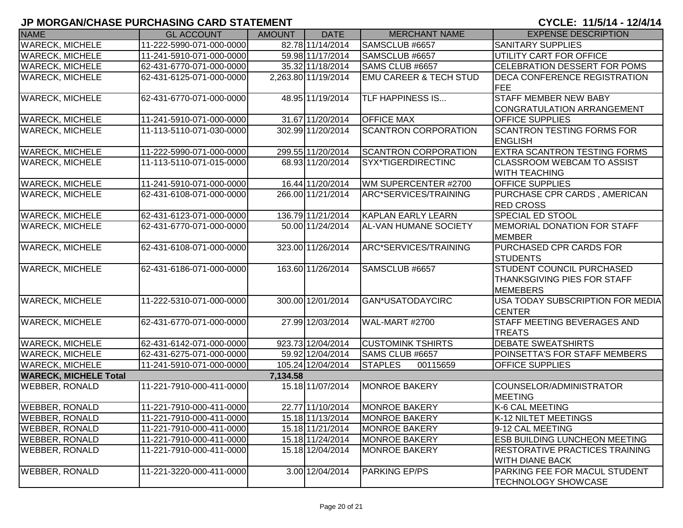| <b>NAME</b>                  | <b>GL ACCOUNT</b>        | <b>AMOUNT</b> | <b>DATE</b>         | <b>MERCHANT NAME</b>              | <b>EXPENSE DESCRIPTION</b>            |
|------------------------------|--------------------------|---------------|---------------------|-----------------------------------|---------------------------------------|
| <b>WARECK, MICHELE</b>       | 11-222-5990-071-000-0000 |               | 82.78 11/14/2014    | SAMSCLUB #6657                    | <b>SANITARY SUPPLIES</b>              |
| <b>WARECK, MICHELE</b>       | 11-241-5910-071-000-0000 |               | 59.98 11/17/2014    | SAMSCLUB #6657                    | UTILITY CART FOR OFFICE               |
| <b>WARECK, MICHELE</b>       | 62-431-6770-071-000-0000 |               | 35.32 11/18/2014    | SAMS CLUB #6657                   | <b>CELEBRATION DESSERT FOR POMS</b>   |
| <b>WARECK, MICHELE</b>       | 62-431-6125-071-000-0000 |               | 2,263.80 11/19/2014 | <b>EMU CAREER &amp; TECH STUD</b> | <b>DECA CONFERENCE REGISTRATION</b>   |
|                              |                          |               |                     |                                   | <b>FEE</b>                            |
| <b>WARECK, MICHELE</b>       | 62-431-6770-071-000-0000 |               | 48.95 11/19/2014    | <b>TLF HAPPINESS IS</b>           | <b>STAFF MEMBER NEW BABY</b>          |
|                              |                          |               |                     |                                   | CONGRATULATION ARRANGEMENT            |
| <b>WARECK, MICHELE</b>       | 11-241-5910-071-000-0000 |               | 31.67 11/20/2014    | <b>OFFICE MAX</b>                 | <b>OFFICE SUPPLIES</b>                |
| <b>WARECK, MICHELE</b>       | 11-113-5110-071-030-0000 |               | 302.99 11/20/2014   | <b>SCANTRON CORPORATION</b>       | <b>SCANTRON TESTING FORMS FOR</b>     |
|                              |                          |               |                     |                                   | <b>ENGLISH</b>                        |
| <b>WARECK, MICHELE</b>       | 11-222-5990-071-000-0000 |               | 299.55 11/20/2014   | <b>SCANTRON CORPORATION</b>       | <b>EXTRA SCANTRON TESTING FORMS</b>   |
| <b>WARECK, MICHELE</b>       | 11-113-5110-071-015-0000 |               | 68.93 11/20/2014    | SYX*TIGERDIRECTINC                | <b>CLASSROOM WEBCAM TO ASSIST</b>     |
|                              |                          |               |                     |                                   | <b>WITH TEACHING</b>                  |
| <b>WARECK, MICHELE</b>       | 11-241-5910-071-000-0000 |               | 16.44 11/20/2014    | WM SUPERCENTER #2700              | <b>OFFICE SUPPLIES</b>                |
| <b>WARECK, MICHELE</b>       | 62-431-6108-071-000-0000 |               | 266.00 11/21/2014   | ARC*SERVICES/TRAINING             | <b>PURCHASE CPR CARDS, AMERICAN</b>   |
|                              |                          |               |                     |                                   | <b>RED CROSS</b>                      |
| <b>WARECK, MICHELE</b>       | 62-431-6123-071-000-0000 |               | 136.79 11/21/2014   | <b>KAPLAN EARLY LEARN</b>         | <b>SPECIAL ED STOOL</b>               |
| <b>WARECK, MICHELE</b>       | 62-431-6770-071-000-0000 |               | 50.00 11/24/2014    | <b>AL-VAN HUMANE SOCIETY</b>      | MEMORIAL DONATION FOR STAFF           |
|                              |                          |               |                     |                                   | <b>MEMBER</b>                         |
| <b>WARECK, MICHELE</b>       | 62-431-6108-071-000-0000 |               | 323.00 11/26/2014   | ARC*SERVICES/TRAINING             | PURCHASED CPR CARDS FOR               |
|                              |                          |               |                     |                                   | <b>STUDENTS</b>                       |
| <b>WARECK, MICHELE</b>       | 62-431-6186-071-000-0000 |               | 163.60 11/26/2014   | SAMSCLUB #6657                    | <b>STUDENT COUNCIL PURCHASED</b>      |
|                              |                          |               |                     |                                   | <b>THANKSGIVING PIES FOR STAFF</b>    |
|                              |                          |               |                     |                                   | <b>MEMEBERS</b>                       |
| <b>WARECK, MICHELE</b>       | 11-222-5310-071-000-0000 |               | 300.00 12/01/2014   | <b>GAN*USATODAYCIRC</b>           | USA TODAY SUBSCRIPTION FOR MEDIA      |
|                              |                          |               |                     |                                   | <b>CENTER</b>                         |
| <b>WARECK, MICHELE</b>       | 62-431-6770-071-000-0000 |               | 27.99 12/03/2014    | WAL-MART #2700                    | STAFF MEETING BEVERAGES AND           |
|                              |                          |               |                     |                                   | <b>TREATS</b>                         |
| <b>WARECK, MICHELE</b>       | 62-431-6142-071-000-0000 |               | 923.73 12/04/2014   | <b>CUSTOMINK TSHIRTS</b>          | <b>DEBATE SWEATSHIRTS</b>             |
| <b>WARECK, MICHELE</b>       | 62-431-6275-071-000-0000 |               | 59.92 12/04/2014    | SAMS CLUB #6657                   | POINSETTA'S FOR STAFF MEMBERS         |
| <b>WARECK, MICHELE</b>       | 11-241-5910-071-000-0000 |               | 105.24 12/04/2014   | <b>STAPLES</b><br>00115659        | <b>OFFICE SUPPLIES</b>                |
| <b>WARECK, MICHELE Total</b> |                          | 7,134.58      |                     |                                   |                                       |
| <b>WEBBER, RONALD</b>        | 11-221-7910-000-411-0000 |               | 15.18 11/07/2014    | <b>MONROE BAKERY</b>              | COUNSELOR/ADMINISTRATOR               |
|                              |                          |               |                     |                                   | <b>MEETING</b>                        |
| <b>WEBBER, RONALD</b>        | 11-221-7910-000-411-0000 |               | 22.77 11/10/2014    | <b>MONROE BAKERY</b>              | K-6 CAL MEETING                       |
| <b>WEBBER, RONALD</b>        | 11-221-7910-000-411-0000 |               | 15.18 11/13/2014    | <b>MONROE BAKERY</b>              | K-12 NILTET MEETINGS                  |
| <b>WEBBER, RONALD</b>        | 11-221-7910-000-411-0000 |               | 15.18 11/21/2014    | <b>MONROE BAKERY</b>              | 9-12 CAL MEETING                      |
| <b>WEBBER, RONALD</b>        | 11-221-7910-000-411-0000 |               | 15.18 11/24/2014    | <b>MONROE BAKERY</b>              | <b>ESB BUILDING LUNCHEON MEETING</b>  |
| <b>WEBBER, RONALD</b>        | 11-221-7910-000-411-0000 |               | 15.18 12/04/2014    | <b>MONROE BAKERY</b>              | <b>RESTORATIVE PRACTICES TRAINING</b> |
|                              |                          |               |                     |                                   | <b>WITH DIANE BACK</b>                |
| <b>WEBBER, RONALD</b>        | 11-221-3220-000-411-0000 |               | 3.00 12/04/2014     | <b>PARKING EP/PS</b>              | PARKING FEE FOR MACUL STUDENT         |
|                              |                          |               |                     |                                   | <b>TECHNOLOGY SHOWCASE</b>            |